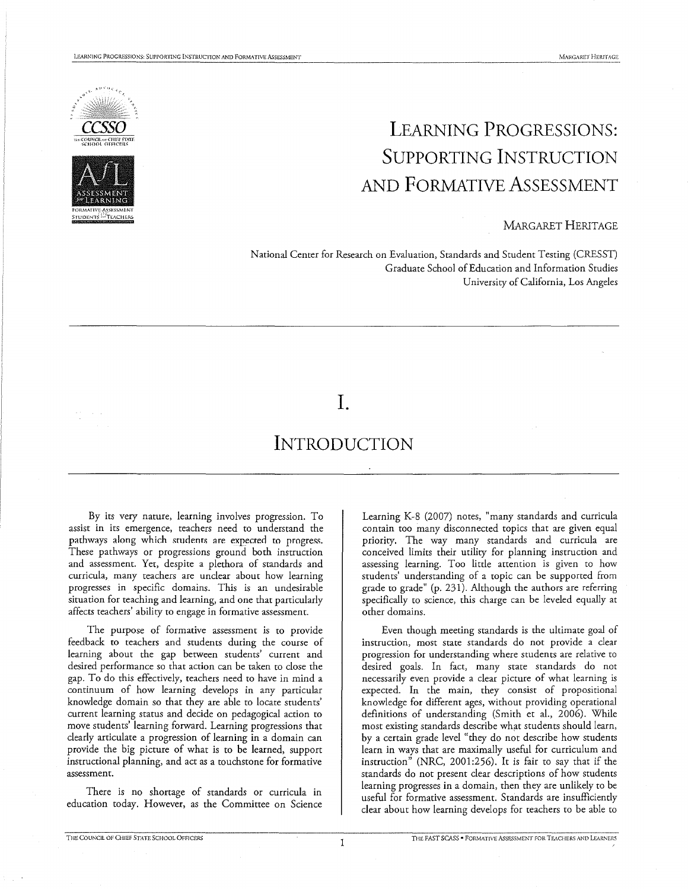



# **LEARNING PROGRESSIONS: SUPPORTING INSTRUCTION AND FORMATIVE ASSESSMENT**

#### MARGARET HERITAGE

National Center for Research on Evaluation, Standards and Student Testing (CRESST) Graduate School of Education and Information Studies University of California, Los Angeles

# I.

# **INTRODUCTION**

By its very nature, learning involves progression. To assist in its emergence, teachers need to understand the pathways along which students are expected to progress. These pathways or progressions ground both instruction and assessment. Yet, despite a plethora of standards and curricula, many teachers are unclear about how learning progresses in specific domains. This is an undesirable situation for teaching and learning, and one that particularly affects teachers' ability to engage in formative assessment.

The purpose of formative assessment is to provide feedback to teachers and students during the course of learning about the gap between students' current and desired performance so that action can be taken to close the gap. To do this effectively, teachers need to have in mind a continuum of how learning develops in any particular knowledge domain so that they are able to locate students' current learning status and decide on pedagogical action to move students' learning forward. Learning progressions that clearly articulate a progression of learning in a domain can provide the big picture of what is to be learned, support instructional planning, and act as a touchstone for formative assessment.

There is no shortage of standards or curricula in education today. However, as the Committee on Science Learning K-8 (2007) notes, "many standards and curricula contain too many disconnected topics that are given equal priority. The way many standards and curricula are conceived limits their utility for planning instruction and assessing learning. Too little attention is given to how students' understanding of a topic can be supported from grade to grade" (p. 231). Although the authors are referring specifically to science, this charge can be leveled equally at other domains.

Even though meeting standards is the ultimate goal of instruction, most state standards do not provide a clear progression for understanding where students are relative to desired goals. In fact, many state standards do not necessarily even provide a clear picture of what learning is expected. In the main, they consist of propositional knowledge for different ages, without providing operational definitions of understanding (Smith et al., 2006). While most existing standards describe what students should learn, by a certain grade level "they do not describe how students learn in ways that are maximally useful for curriculum and instruction" (NRC, 2001:256). It is fair to say that if the standards do not present clear descriptions of how students learning progresses in a domain, then they are unlikely to be useful for formative assessment. Standards are insufficiently clear about how learning develops for teachers to be able to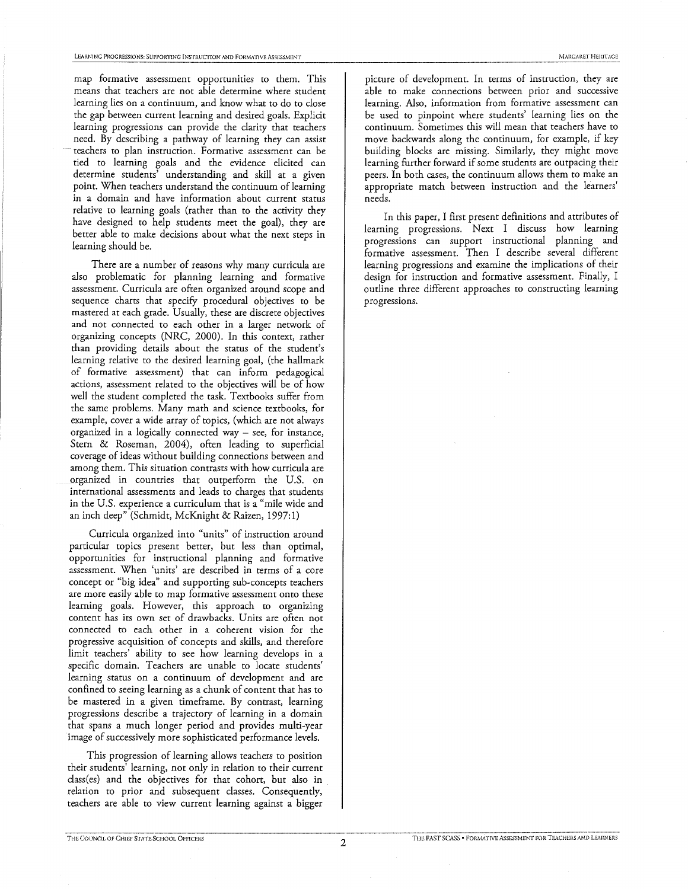map formative assessment opportunities to them. This means that teachers are not able determine where student learning lies on a continuum, and know what to do to close the gap between current learning and desired goals. Explicit learning progressions can provide the clarity that teachers need. By describing a pathway of learning they can assist teachers to plan instruction. Formative assessment can be tied to learning goals and the evidence elicited can determine students' understanding and skill at a given point. When teachers understand the continuum of learning in a domain and have information about current status relative to learning goals (rather than to the activity they have designed to help students meet the goal), they are better able to make decisions about what the next steps in learning should be.

There are a number of reasons why many curricula are also problematic for planning learning and formative assessment. Curricula are often organized around scope and sequence charts that specify procedural objectives to be mastered at each grade. Usually, these are discrete objectives and not connected to each other in a larger network of organizing concepts (NRC, 2000). In this context, rather than providing details about the status of the student's learning relative to the desired learning goal, (the hallmark of formative assessment) that can inform pedagogical actions, assessment related to the objectives will be of how well the student completed the task. Textbooks suffer from the same problems. Many math and science textbooks, for example, cover a wide array of topics, (which are not always organized in a logically connected way - see, for instance, Stern & Roseman, 2004), often leading to superficial coverage of ideas without building connections between and among them. This situation contrasts with how curricula are organized in countries that outperform the U.S. on international assessments and leads to charges that students in the U.S. experience a curriculum that is a "mile wide and an inch deep" (Schmidt, McKnight & Raizen, 1997:1)

Curricula organized into "units" of instruction around particular topics present better, but less than optimal, opportunities for instructional planning and formative assessment. When 'units' are described in terms of a core concept or "big idea" and supporting sub-concepts teachers are more easily able to map formative assessment onto these learning goals. However, this approach to organizing content has its own set of drawbacks. Units are often not connected to each other in a coherent vision for the progressive acquisition of concepts and skills, and therefore limit teachers' ability to see how learning develops in a specific domain. Teachers are unable to locate students' learning status on a continuum of development and are confined to seeing learning as a chunk of content that has to be mastered in a given timeframe. By contrast, learning progressions describe a trajectory of learning in a domain that spans a much longer period and provides multi-year image of successively more sophisticated performance levels.

This progression of learning allows teachers to position their students' learning, not only in relation to their current class(es) and the objectives for that cohort, but also in relation to prior and subsequent classes. Consequently, teachers are able to view current learning against a bigger picture of development. In terms of instruction, they are able to make connections between prior and successive learning. Also, information from formative assessment can be used to pinpoint where students' learning lies on the continuum. Sometimes this will mean that teachers have to move backwards along the continuum, for example, if key building blocks are missing. Similarly, they might move learning further forward if some students are outpacing their peers. In both cases, the continuum allows them to make an appropriate match between instruction and the learners' needs.

-----------------------------·-·-·---··-·····

In this paper, I first present definitions and attributes of learning progressions. Next I discuss how learning progressions can support instructional planning and formative assessment. Then I describe several different learning progressions and examine the implications of their design for instruction and formative assessment. Finally, I outline three different approaches to constructing learning progressions.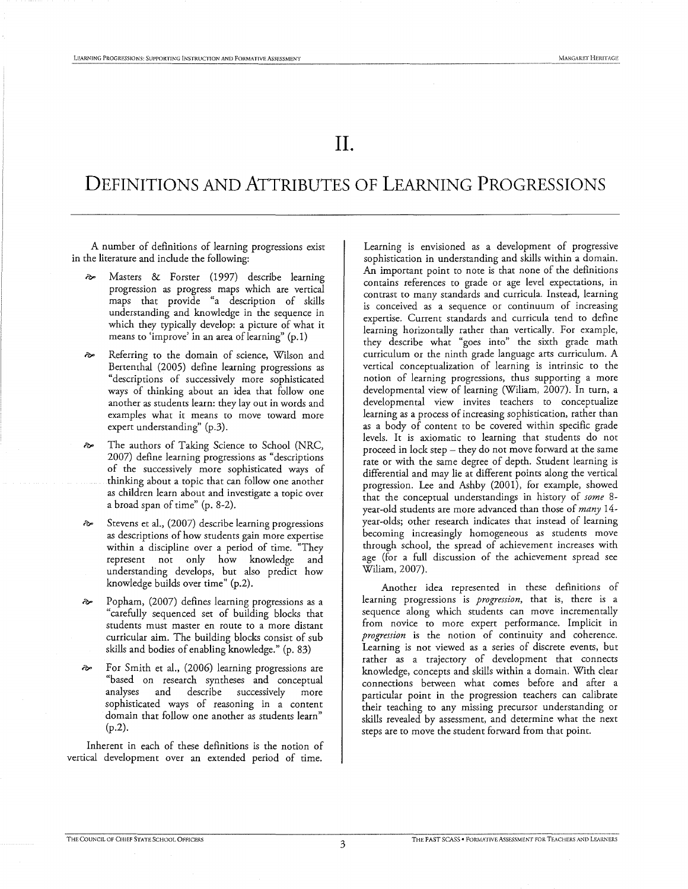# **II.**

# **DEFINITIONS AND ATTRIBUTES OF LEARNING PROGRESSIONS**

A number of definitions of learning progressions exist in the literature and include the following:

- *it;<>* Masters & Forster (1997) describe learning progression as progress maps which are vertical maps that provide "a description of skills understanding and knowledge in the sequence in which they typically develop: a picture of what it means to 'improve' in an area of learning"  $(p.1)$
- $\approx$  Referring to the domain of science, Wilson and Bertenthal (2005) define learning progressions as "descriptions of successively more sophisticated ways of thinking about an idea that follow one another as students learn: they lay out in words and examples what it means to move toward more expert understanding" (p.3).
- $\approx$  The authors of Taking Science to School (NRC, 2007) define learning progressions as "descriptions of the successively more sophisticated ways of thinking about a topic that can follow one another as children learn about and investigate a topic over a broad span of time" (p. 8-2).
- ∂ Stevens et al., (2007) describe learning progressions as descriptions of how students gain more expertise within a discipline over a period of time. "They represent not only how knowledge and understanding develops, but also predict how knowledge builds over time" (p.2).
- *it;<>* Popham, (2007) defines learning progressions as a "carefully sequenced set of building blocks that students must master en route to a more distant curricular aim. The building blocks consist of sub skills and bodies of enabling knowledge." (p. 83)
- For Smith et al., (2006) learning progressions are "based on research syntheses and conceptual analyses and describe successively more sophisticated ways of reasoning in a content domain that follow one another as students learn" (p.2).

Inherent in each of these definitions is the notion of vertical development over an extended period of time.

Learning is envisioned as a development of progressive sophistication in understanding and skills within a domain. An important point to note is that none of the definitions contains references to grade or age level expectations, in contrast to many standards and curricula. Instead, learning is conceived as a sequence or continuum of increasing expertise. Current standards and curricula tend to define learning horizontally rather than vertically. For example, they describe what "goes into" the sixth grade math curriculum or the ninth grade language arts curriculum. A vertical conceptualization of learning is intrinsic to the notion of learning progressions, thus supporting a more developmental view of learning (Wiliam, 2007). In turn, a developmental view invites teachers to conceptualize learning as a process of increasing sophistication, rather than as a body of content to be covered within specific grade levels. It is axiomatic to learning that students do not proceed in lock step - they do not move forward at the same rate or with the same degree of depth. Student learning is differential and may lie at different points along the vertical progression. Lee and Ashby (2001), for example, showed that the conceptual understandings in history of *some* 8 year-old students are more advanced than those of *many* 14 year-olds; other research indicates that instead of learning becoming increasingly homogeneous as students move through school, the spread of achievement increases with age (for a full discussion of the achievement spread see Wiliam, 2007).

Another idea represented in these definitions of learning progressions is *progression,* that is, there is a sequence along which students can move incrementally from novice to more expert performance. Implicit in *progression* is the notion of continuity and coherence. Learning is not viewed as a series of discrete events, but rather as a trajectory of development that connects knowledge, concepts and skills within a domain. With clear connections berween what comes before and after a particular point in the progression teachers can calibrate their teaching to any missing precursor understanding or skills revealed by assessment, and determine what the next steps are to move the student forward from that point.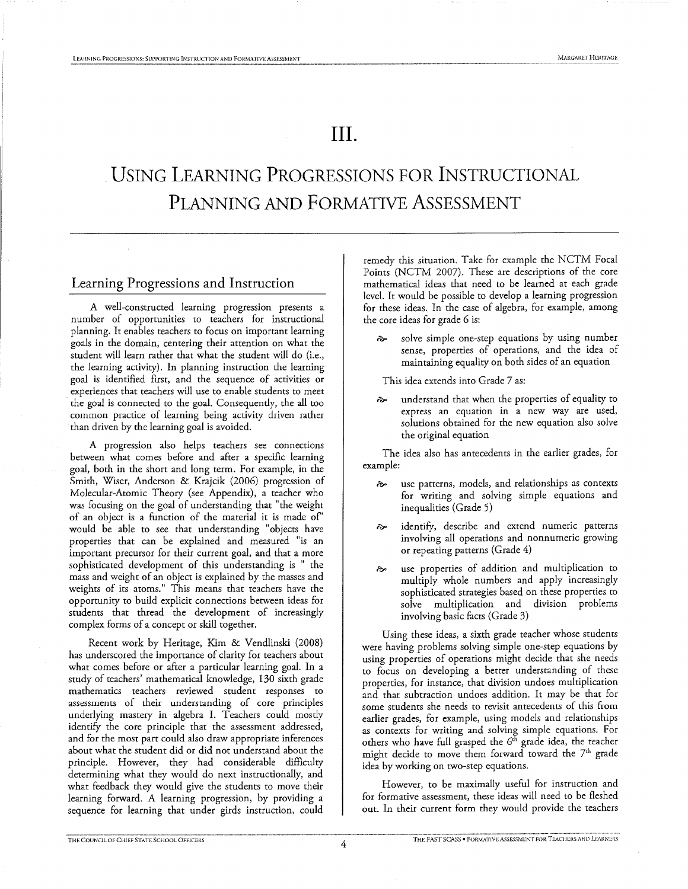# III.

·-------····-·-·-·········-······ ..

# USING LEARNING PROGRESSIONS FOR INSTRUCTIONAL PLANNING AND FORMATIVE ASSESSMENT

### Learning Progressions and Instruction

A well-constructed learning progression presents a number of opportunities to teachers for instructional planning. It enables teachers to focus on important learning goals in the domain, centering their attention on what the student will learn rather that what the student will do (i.e., the learning activity). In planning instruction the learning goal is identified first, and the sequence of activities or experiences that teachers will use to enable students to meet the goal is connected to the goal. Consequently, the all too common practice of learning being activity driven rather than driven by the learning goal is avoided.

A progression also helps teachers see connections between what comes before and after a specific learning goal, both in the short and long term. For example, in the Smith, Wiser, Anderson & Krajcik (2006) progression of Molecular-Atomic Theory (see Appendix), a teacher who was focusing on the goal of understanding that "the weight of an object is a function of the material it is made of' would be able to see that understanding "objects have properties that can be explained and measured "is an important precursor for their current goal, and that a more sophisticated development of this understanding is " the mass and weight of an object is explained by the masses and weights of its atoms." This means that teachers have the opportunity to build explicit connections between ideas for students that thread the development of increasingly complex forms of a concept or skill together.

Recent work by Heritage, Kim & Vendlinski (2008) has underscored the importance of clarity for teachers about what comes before or after a particular learning goal. In a study of teachers' mathematical knowledge, 130 sixth grade mathematics teachers reviewed student responses to assessments of their understanding of core principles underlying mastery in algebra I. Teachers could mostly identify the core principle that the assessment addressed, and for the most part could also draw appropriate inferences about what the student did or did not understand about the principle. However, they had considerable difficulty determining what they would do next instructionally, and what feedback they would give the students to move their learning forward. A learning progression, by providing a sequence for learning that under girds instruction, could

remedy this situation. Take for example the NCTM Focal Points (NCTM 2007). These are descriptions of the core mathematical ideas that need to be learned at each grade level. It would be possible to develop a learning progression for these ideas. In the case of algebra, for example, among the core ideas for grade 6 is:

solve simple one-step equations by using number sense, properties of operations, and the idea of maintaining equality on both sides of an equation

This idea extends into Grade 7 as:

*il'Jo* understand that when the properties of equality to express an equation in a new way are used, solutions obtained for the new equation also solve the original equation

The idea also has antecedents in the earlier grades, for example:

- *rt;.* use patterns, models, and relationships as contexts for writing and solving simple equations and inequalities (Grade 5)
- *il'Jo* identify, describe and extend numeric patterns involving all operations and nonnumeric growing or repeating patterns (Grade 4)
- use properties of addition and multiplication to multiply whole numbers and apply increasingly sophisticated strategies based on these properties to solve multiplication and division problems involving basic facts (Grade 3)

Using these ideas, a sixth grade teacher whose students were having problems solving simple one-step equations by using properties of operations might decide that she needs to focus on developing a better understanding of these properties, for instance, that division undoes multiplication and that subtraction undoes addition. It may be that for some students she needs to revisit antecedents of this from earlier grades, for example, using models and relationships as contexts for writing and solving simple equations. For others who have full grasped the 6'h grade idea, the teacher might decide to move them forward toward the 7'h grade idea by working on two-step equations.

However, to be maximally useful for instruction and for formative assessment, these ideas will need to be fleshed out. In their current form they would provide the teachers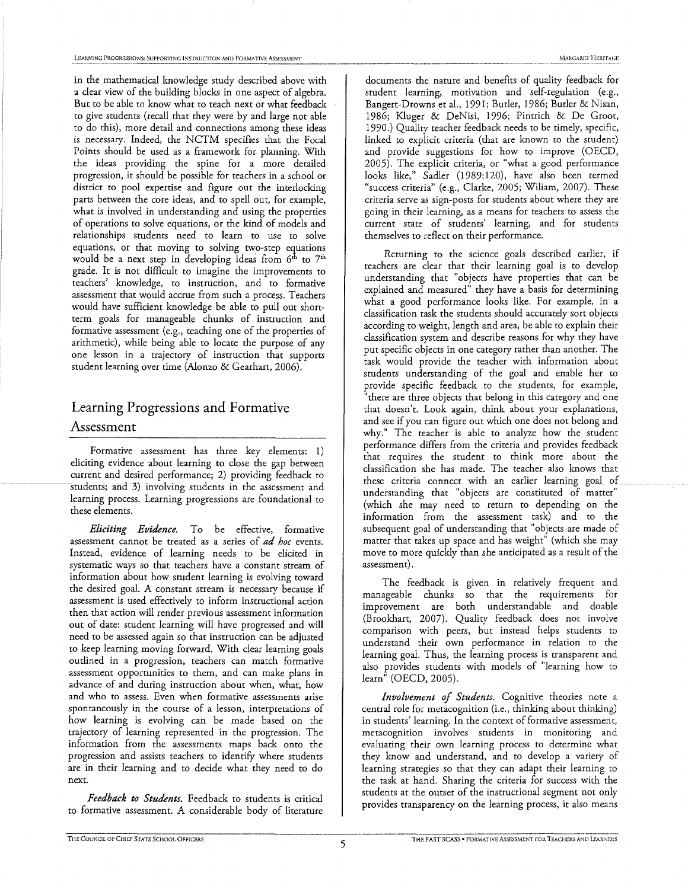in the mathematical knowledge study described above with a clear view of the building blocks in one aspect of algebra. But to be able to know what to teach next or what feedback to give students (recall that they were by and large not able to do this), more detail and connections among these ideas is necessary. Indeed, the NCTM specifies that the Focal Points should be used as a framework for planning. With the ideas providing the spine for a more detailed progression, it should be possible for teachers in a school or district to pool expertise and figure out the interlocking parts between the core ideas, and to spell out, for example, what is involved in understanding and using the properties of operations to solve equations, or the kind of models and relationships students need to learn to use to solve equations, or that moving to solving two-step equations would be a next step in developing ideas from 6<sup>th</sup> to 7<sup>th</sup> grade. It is not difficult to imagine the improvements to teachers' knowledge, to instruction, and to formative assessment that would accrue from such a process. Teachers would have sufficient knowledge be able to pull out shortterm goals for manageable chunks of instruction and formative assessment (e.g., teaching one of the properties of arithmetic), while being able to locate the purpose of any one lesson in a trajectory of instruction that supports student learning over time (Alonzo & Gearhart, 2006).

## Learning Progressions and Formative Assessment

Formative assessment has three key elements: 1) eliciting evidence about learning to close the gap between current and desired performance; 2) providing feedback to students; and 3) involving students in the assessment and learning process. Learning progressions are foundational to these elements.

*Eliciting Evidence.* To be effective, formative assessment cannot be treated as a series of *ad hoc* events. Instead, evidence of learning needs to be elicited in systematic ways so that teachers have a constant stream of information about how student learning is evolving toward the desired goal. A constant stream is necessary because if assessment is used effectively to inform instructional action then that action will render previous assessment information out of date: student learning will have progressed and will need to be assessed again so that instruction can be adjusted to keep learning moving forward. With clear learning goals outlined in a progression, teachers can match formative assessment opportunities to them, and can make plans in advance of and during instruction about when, what, how and who to assess. Even when formative assessments arise spontaneously in the course of a lesson, interpretations of how learning is evolving can be made based on the trajectory of learning represented in the progression. The information from the assessments maps back onto the progression and assists teachers to identify where students are in their learning and to decide what they need to do next.

*Feedback to Students.* Feedback to students is critical to formative assessment. A considerable body of literature

documents the nature and benefits of quality feedback for student learning, motivation and self-regulation (e.g., Bangert-Drowns et al., 1991; Butler, 1986; Butler & Nisan, 1986; Kluger & DeNisi, 1996; Pintrich & De Groot, 1990.) Quality teacher feedback needs to be timely, specific, linked to explicit criteria (that are known to the student) and provide suggestions for how to improve (OECD, 2005). The explicit criteria, or "what a good performance looks like," Sadler (1989:120), have also been termed "success criteria" (e.g., Clarke, 2005; Wiliam, 2007). These criteria serve as sign-posts for students about where they are going in their learning, as a means for teachers to assess the current state of students' learning, and for students themselves to reflect on their performance.

Returning to the science goals described earlier, if teachers are clear that their learning goal is to develop understanding that "objects have properties that can be explained and measured" they have a basis for determining what a good performance looks like. For example, in a classification task the students should accurately sort objects according to weight, length and area, be able to explain their classification system and describe reasons for why they have put specific objects in one category rather than another. The task would provide the teacher with information about students understanding of the goal and enable her to provide specific feedback to the students, for example, there are three objects that belong in this category and one that doesn't. Look again, think about your explanations, and see if you can figure out which one does not belong and why." The teacher is able to analyze how the student performance differs from the criteria and provides feedback that requires the student to think more about the classification she has made. The teacher also knows that these criteria connect with an earlier learning goal of understanding that "objects are constituted of matter" (which she may need to return to depending on the information from the assessment task) and to the subsequent goal of understanding that "objects are made of matter that takes up space and has weight" (which she may move to more quickly than she anticipated as a result of the assessment).

The feedback is given in relatively frequent and manageable chunks so that the requirements for improvement are both understandable and doable (Brookhart, 2007). Quality feedback does not involve comparison with peers, but instead helps students to understand their own performance in relation to the learning goal. Thus, the learning process is transparent and also provides students with models of "learning how to learn" (OECD, 2005).

*Involvement of Students.* Cognitive theories note a central role for metacognition (i.e., thinking about thinking) in students' learning. In the context of formative assessment, metacognition involves students in monitoring and evaluating their own learning process to determine what they know and understand, and to develop a variety of learning strategies so that they can adapt their learning to the task at hand. Sharing the criteria for success with the students at the outset of the instructional segment not only provides transparency on the learning process, it also means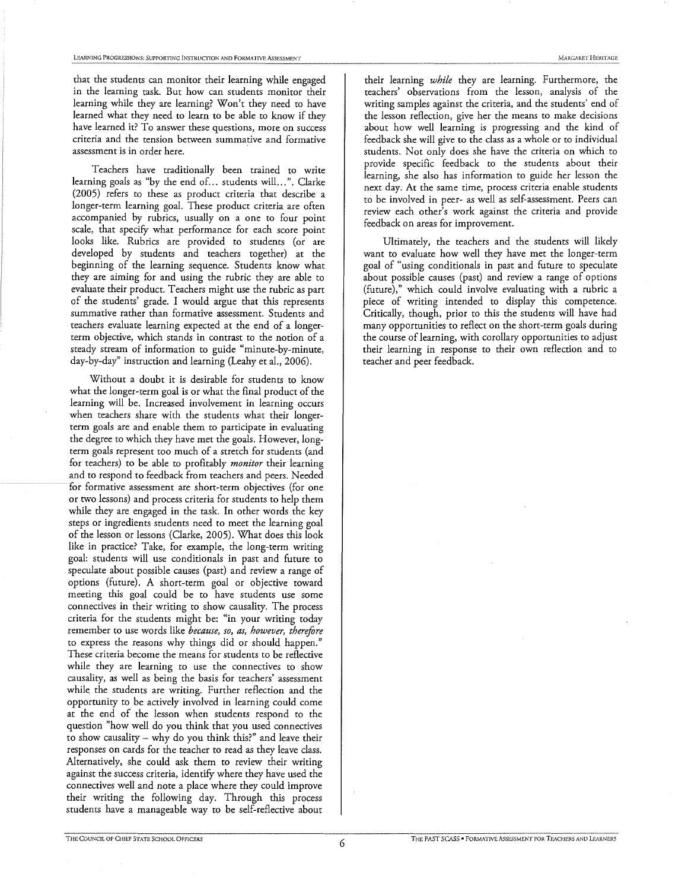that the students can monitor their learning while engaged in the learning task. But how can students monitor their learning while they are learning? Won't they need to have learned what they need to learn to be able to know if they have learned it? To answer these questions, more on success criteria and the tension between summative and formative assessment is in order here.

Teachers have traditionally been trained to write learning goals as "by the end of... students will...". Clarke (2005) refers to these as product criteria that describe a longer-term learning goal. These product criteria are often accompanied by rubrics, usually on a one to four point scale, that specify what performance for each score point looks like. Rubrics are provided to students (or are developed by students and teachers together) at the beginning of the learning sequence. Students know what they are aiming for and using the rubric they are able to evaluate their product. Teachers might use the rubric as part of the students' grade. I would argue that this represents summative rather than formative assessment. Students and teachers evaluate learning expected at the end of a longerterm objective, which stands in contrast to the notion of a steady stream of information to guide "minute-by-minute, day-by-day" instruction and learning (Leahy et al., 2006).

Without a doubt it is desirable for students to know what the longer-term goal is or what the final product of the learning will be. Increased involvement in learning occurs when teachers share with the students what their longerterm goals are and enable them to participate in evaluating the degree to which they have met the goals. However, longterm goals represent too much of a stretch for students (and for teachers) to be able to profitably *monitor* their learning and to respond to feedback from teachers and peers. Needed for formative assessment are short-term objectives (for one or two lessons) and process criteria for students to help them while they are engaged in the task. In other words the key steps or ingredients students need to meet the learning goal of the lesson or lessons (Clarke, 2005). What does this look like in practice? Take, for example, the long-term writing goal: students will use conditionals in past and future to speculate about possible causes (past) and review a range of options (future). A short-term goal or objective toward meeting this goal could be to have students use some connectives in their writing to show causality. The process criteria for the students might be: "in your writing today remember to use words like *because, so, as, however, therefore*  to express the reasons why things did or should happen." These criteria become the means for students to be reflective while they are learning to use the connectives to show causality, as well as being the basis for teachers' assessment while the students are writing. Further reflection and the opportunity to be actively involved in learning could come at the end of the lesson when students respond to the question "how well do you think that you used connectives to show causality - why do you think this?" and leave their responses on cards for the teacher to read as they leave class. Alternatively, she could ask them to review their writing against the success criteria, identify where they have used the connectives well and note a place where they could improve their writing the following day. Through this process students have a manageable way to be self-reflective about

their learning *while* they are learning. Furthermore, the teachers' observations from the lesson, analysis of the writing samples against the criteria, and the students' end of the lesson reflection, give her the means to make decisions about how well learning is progressing and the kind of feedback she will give to the class as a whole or to individual students. Not only does she have the criteria on which to provide specific feedback to the students about their learning, she also has information to guide her lesson the next day. At the same time, process criteria enable students to be involved in peer- as well as self-assessment. Peers can review each other's work against the criteria and provide feedback on areas for improvement.

Ultimately, the teachers and the students will likely want to evaluate how well they have met the longer-term goal of "using conditionals in past and future to speculate about possible causes (past) and review a range of options (future)," which could involve evaluating with a rubric a piece of writing intended to display this competence. Critically, though, prior to this the students will have had many opportunities to reflect on the short-term goals during the course of learning, with corollary opportunities to adjust their learning in response to their own reflection and to teacher and peer feedback.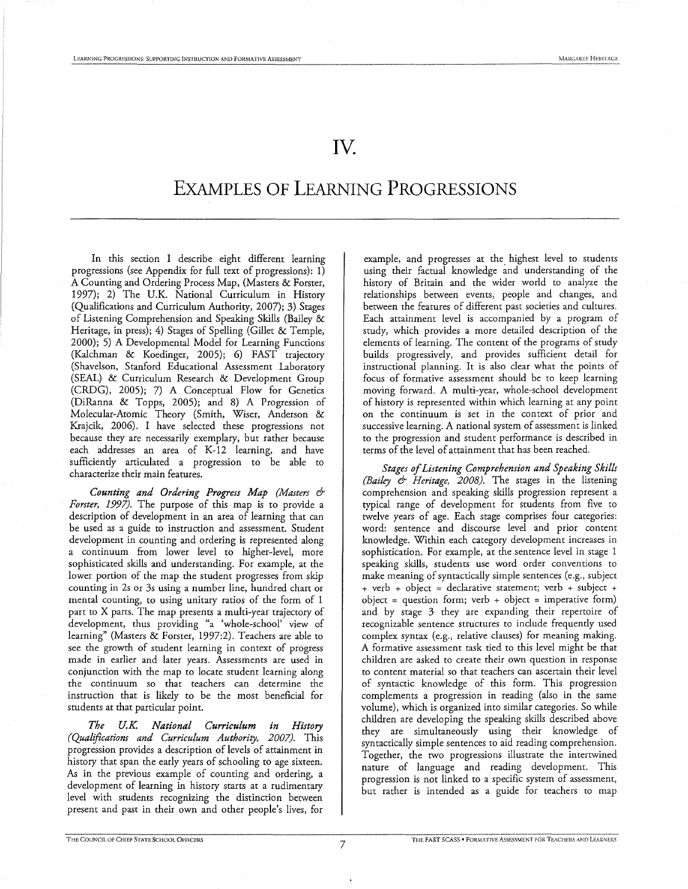# IV.

# EXAMPLES OF LEARNING PROGRESSIONS

In this section I describe eight different learning progressions (see Appendix for full text of progressions): 1) A Counting and Ordering Process Map, (Masters & Forster, 1997); 2) The U.K. National Curriculum in History (Qualifications and Curriculum Authoriry, 2007); 3) Stages of Listening Comprehension and Speaking Skills (Bailey & Heritage, in press); 4) Stages of Spelling (Gillet & Temple, 2000); 5) A Developmental Model for Learning Functions (Kalchman & Koedinger, 2005); 6) FAST trajectory (Shavelson, Stanford Educational Assessment Laboratory (SEAL) & Curriculum Research & Development Group (CRDG), 2005); 7) A Conceptual Flow for Genetics (DiRanna & Topps, 2005); and 8) A Progression of Molecular-Atomic Theory (Smith, Wiser, Anderson & Krajcik, 2006). I have selected these progressions not because they are necessarily exemplary, but rather because each addresses an area of K-12 learning, and have sufficiently articulated a progression to be able to characterize their main features.

*Counting and Ordering Progress Map (Masters* & *Forster, 1997).* The purpose of this map is to provide a description of development in an area of learning that can be used as a guide to instruction and assessment. Student development in counting and ordering is represented along a continuum from lower level to higher-level, more sophisticated skills and understanding. For example, at the lower portion of the map the student progresses from skip counting in 2s or 3s using a number line, hundred chart or mental counting, to using unitary ratios of the form of 1 part to X parts. The map presents a multi-year trajectory of development, thus providing "a 'whole-school' view of learning" (Masters & Forster, 1997:2). Teachers are able to see the growth of student learning in context of progress made in earlier and later years. Assessments are used in conjunction with the map to locate student learning along the continuum so that teachers can determine the instruction that is likely to be the most beneficial for students at that particular point.

*The U.K National Curriculum in History (Qualifications and Curriculum Authority, 2007).* This progression provides a description of levels of attainment in history that span the early years of schooling to age sixteen. As in the previous example of counting and ordering, a development of learning in history starts at a rudimentary level with students recognizing the distinction between present and past in their own and other people's lives, for

example, and progresses at the highest level to students using their factual knowledge and understanding of the history of Britain and the wider world to analyze the relationships between events, people and changes, and between the features of different past societies and cultures. Each attainment level is accompanied by a program of study, which provides a more detailed description of the elements of learning. The content of the programs of study builds progressively, and provides sufficient detail for instructional planning. It is also clear what the points of focus of formative assessment should be to keep learning moving forward. A multi-year, whole-school development of history is represented within which learning at any point on the continuum is set in the context of prior and successive learning. A national system of assessment is linked to the progression and student performance is described in terms of the level of attainment that has been reached.

*Stages of Listening Comprehension and Speaking Skills (Bailey* & *Heritage, 2008).* The stages in the listening comprehension and speaking skills progression represent a typical range of development for students from five to twelve years of age. Each stage comprises four categories: word: sentence and discourse level and prior content knowledge. Within each category development increases in sophistication. For example, at the sentence level in stage 1 speaking skills, students use word order conventions to make meaning of syntactically simple sentences (e.g., subject + verb + object = declarative statement; verb + subject + object = question form; verb + object = imperative form) and by stage 3 they are expanding their repertoire of recognizable sentence structures to include frequently used complex syntax (e.g., relative clauses) for meaning making. A formative assessment task tied to this level might be that children are asked to create their own question in response to content material so that teachers can ascertain their level of syntactic knowledge of this form. This progression complements a progression in reading (also in the same volume), which is organized into similar categories. So while children are developing the speaking skills described above they are simultaneously using their knowledge of syntactically simple sentences to aid reading comprehension. Together, the two progressions illustrate the intertwined nature of language and reading development. This progression is not linked to a specific system of assessment, but rather is intended as a guide for teachers to map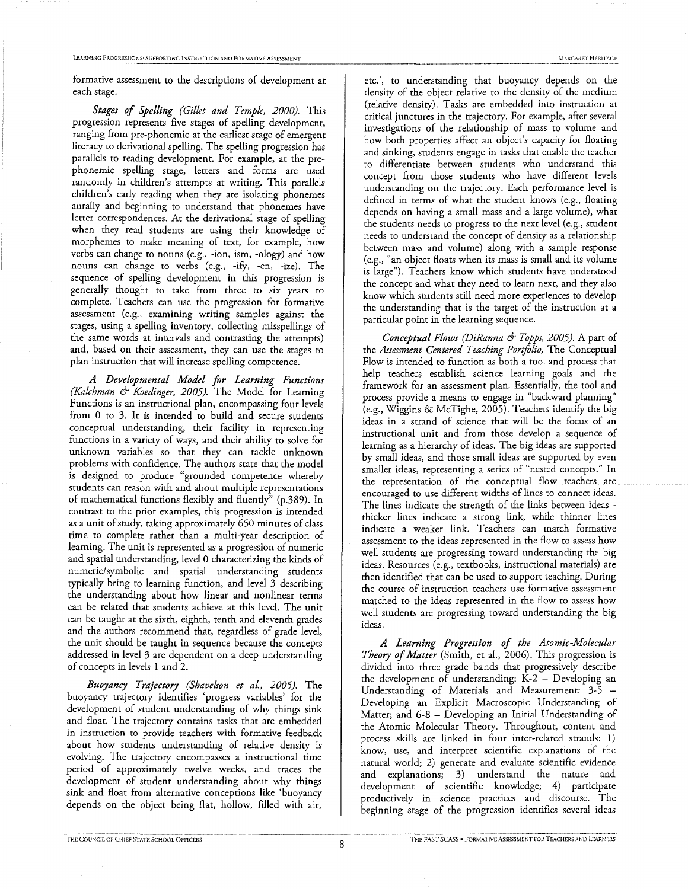formative assessment to the descriptions of development at each stage.

*Stages of Spelling (Gillet and Temple, 2000).* This progression represents five stages of spelling development, ranging from pre-phonemic at the earliest stage of emergent literacy to derivational spelling. The spelling progression has parallels to reading development. For example, at the prephonemic spelling stage, letters and forms are used randomly in children's attempts at writing. This parallels children's early reading when they are isolating phonemes aurally and beginning to understand that phonemes have letter correspondences. At the derivational stage of spelling when they read students are using their knowledge of morphemes to make meaning of text, for example, how verbs can change to nouns (e.g., -ion, ism, -ology) and how nouns can change to verbs (e.g., -ify, -en, -ize). The sequence of spelling development in this progression is generally thought to take from three to six years to complete. Teachers can use the progression for formative assessment (e.g., examining writing samples against the stages, using a spelling inventory, collecting misspellings of the same words at intervals and contrasting the attempts) and, based on their assessment, they can use the stages to plan instruction that will increase spelling competence.

*A Developmental Model for Learning Functions (Kalchman* & *Koedinger, 2005).* The Model for Learning Functions is an instructional plan, encompassing four levels from O to 3. It is intended to build and secure students conceptual understanding, their facility in representing functions in a variety of ways, and their ability to solve for unknown variables so that they can tackle unknown problems with confidence. The authors state that the model is designed to produce "grounded competence whereby students can reason with and about multiple representations of mathematical functions flexibly and fluently" (p.389). In contrast to the prior examples, this progression is intended as a unit of study, taking approximately 650 minutes of class time to complete rather than a multi-year description of learning. The unit is represented as a progression of numeric and spatial understanding, level 0 characterizing the kinds of numeric/symbolic and spatial understanding students typically bring to learning function, and level 3 describing the understanding about how linear and nonlinear terms can be related that students achieve at this level. The unit can be taught at the sixth, eighth, tenth and eleventh grades and the authors recommend that, regardless of grade level, the unit should be taught in sequence because the concepts addressed in level 3 are dependent on a deep understanding of concepts in levels 1 and 2.

*Buoyancy Trajectory (Shave/son et al, 2005).* The buoyancy trajectory identifies 'progress variables' for the development of student understanding of why things sink and float. The trajectory contains tasks that are embedded in instruction to provide teachers with formative feedback about how students understanding of relative density is evolving. The trajectory encompasses a instructional time period of approximately twelve weeks, and traces the development of student understanding about why things sink and float from alternative conceptions like 'buoyancy depends on the object being flat, hollow, filled with air,

etc.', to understanding that buoyancy depends on the density of the object relative to the density of the medium (relative density). Tasks are embedded into instruction at critical junctures in the trajectory. For example, after several investigations of the relationship of mass to volume and how both properties affect an object's capacity for floating and sinking, students engage in tasks that enable the teacher to differentiate between students who understand this concept from those students who have different levels understanding on the trajectory. Each performance level is defined in terms of what the student knows (e.g., floating depends on having a small mass and a large volume), what the students needs to progress to the next level (e.g., student needs to understand the concept of density as a relationship between mass and volume) along with a sample response (e.g., "an object floats when its mass is small and its volume is large"). Teachers know which students have understood the concept and what they need to learn next, and they also know which students still need more experiences to develop the understanding that is the target of the instruction at a particular point in the learning sequence.

*Conceptual Flows (DiRanna* & *Topps, 2005).* A part of the *Assessment Centered Teaching Portfolio,* The Conceptual Flow is intended to function as both a tool and process that help teachers establish science learning goals and the framework for an assessment plan. Essentially, the tool and process provide a means to engage in "backward planning" (e.g., Wiggins & Mc Tighe, 2005). Teachers 1dennfy the big ideas in a strand of science that will be the focus of an instructional unit and from those develop a sequence of learning as a hierarchy of ideas. The big ideas are supported by small ideas, and those small ideas are supported by even smaller ideas, representing a series of "nested concepts." In the representation of the conceptual flow teachers are encouraged to use different widths of lines to connect ideas. The lines indicate the strength of the links between ideas thicker lines indicate a strong link, while thinner lines indicate a weaker link. Teachers can match formative assessment to the ideas represented in the flow to assess how well students are progressing toward understanding the big ideas. Resources (e.g., textbooks, instructional materials) are then identified that can be used to support teaching. During the course of instruction teachers use formative assessment matched to the ideas represented in the flow to assess how well students are progressing toward understanding the big ideas.

*A Learning Progression of the Atomic-Molecular Theory of Matter* (Smith, et al., 2006). This progression is divided into three grade bands that progressively describe the development of understanding:  $K-2$  - Developing an Understanding of Materials and Measurement: 3-5 -Developing an Explicit Macroscopic Understanding of Matter; and 6-8 - Developing an Initial Understanding of the Atomic Molecular Theory. Throughout, content and process skills are linked in four inter-related strands: 1) know, use, and interpret scientific explanations of the natural world; 2) generate and evaluate scientific evidence and explanations; 3) understand the nature and development of scientific knowledge; 4) participate productively in science practices and discourse. The beginning stage of the progression identifies several ideas

8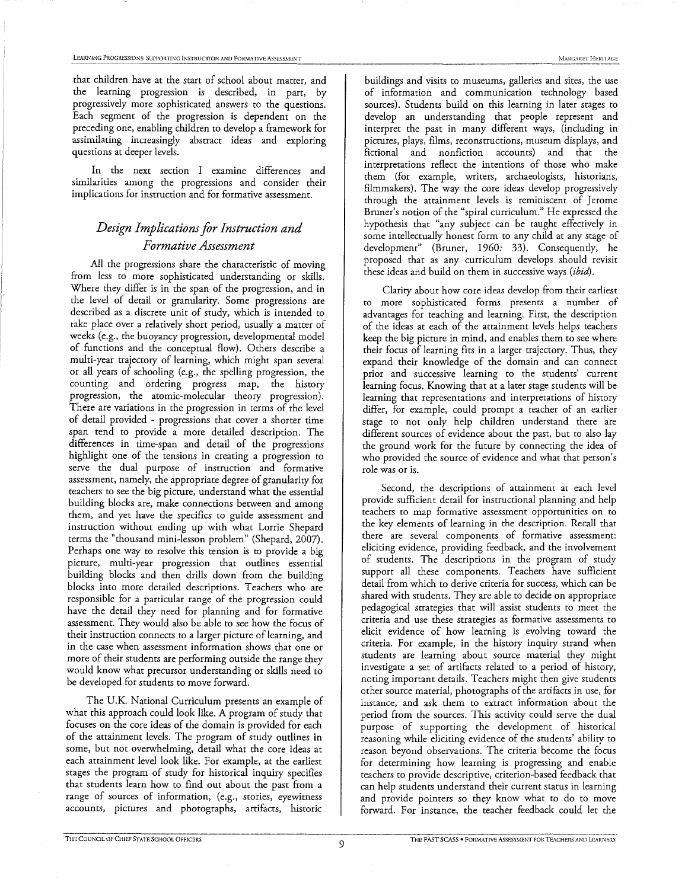that children have at the start of school about matter, and the learning progression is described, in part, by progressively more sophisticated answers to the questions. Each segment of the progression is dependent on the preceding one, enabling children to develop a framework for assimilating increasingly abstract ideas and exploring questions at deeper levels.

In the next section I examine differences and similarities among the progressions and consider their implications for instruction and for formative assessment.

## *Design Implications for Instruction and Formative Assessment*

All the progressions share the characteristic of moving from less to more sophisticated understanding or skills. Where they differ is in the span of the progression, and in the level of detail or granularity. Some progressions are described as a discrete unit of study, which is intended to take place over a relatively short period, usually a matter of weeks (e.g., the buoyancy progression, developmental model of functions and the conceptual flow). Others describe a multi-year trajectory of learning, which might span several or all years of schooling (e.g., the spelling progression, the counting and ordering progress map, the history progression, the atomic-molecular theory progression). There are variations in the progression in terms of the level of detail provided - progressions that cover a shorter time span tend to provide a more detailed description. The differences in time-span and detail of the progressions highlight one of the tensions in creating a progression to serve the dual purpose of instruction and formative assessment, namely, the appropriate degree of granularity for teachers to see the big picture, understand what the essential building blocks are, make connections between and among them, and yet have the specifics to guide assessment and instruction without ending up with what Lorrie Shepard terms the "thousand mini-lesson problem" (Shepard, 2007). Perhaps one way to resolve this tension is to provide a big picture, multi-year progression that outlines essential building blocks and then drills down from the building blocks into more detailed descriptions. Teachers who are responsible for a particular range of the progression could have the detail they need for planning and for formative assessment. They would also be able to see how the focus of their instruction connects to a larger picture of learning, and in the case when assessment information shows that one or more of their students are performing outside the range they would know what precursor understanding or skills need to be developed for students to move forward.

The U.K. National Curriculum presents an example of what this approach could look like. A program of study that focuses on the core ideas of the domain is provided for each of the attainment levels. The program of study outlines in some, but not overwhelming, detail what the core ideas at each attainment level look like. For example, at the earliest stages the program of study for historical inquiry specifies that students learn how to find out about the past from a range of sources of information, (e.g., stories, eyewitness accounts, pictures and photographs, artifacts, historic

buildings and visits to museums, galleries and sites, the use of information and communication technology based sources). Students build on this learning in later stages to develop an understanding that people represent and interpret the past in many different ways, (including in pictures, plays, films, reconstructions, museum displays, and fictional and nonfiction accounts) and that the interpretations reflect the intentions of those who make them (for example, writers, archaeologists, historians, filmmakers). The way the core ideas develop progressively through the attainment levels is reminiscent of Jerome Bruner's notion of the "spiral curriculum." He expressed the hypothesis that "any subject can be taught effectively in some intellectually honest form to any child at any stage of development" (Bruner, 1960: 33). Consequently, he proposed that as any curriculum develops should revisit these ideas and build on them in successive ways *(ibid).* 

Clarity about how core ideas develop from their earliest to more sophisticated forms presents a number of advantages for teaching and learning. First, the description of the ideas at each of the attainment levels helps teachers keep the big picture in mind, and enables them to see where their focus of learning fits in a larger trajectory. Thus, they expand their knowledge of the domain and can connect prior and successive learning to the students' current learning focus. Knowing that at a later stage students will be learning that representations and interpretations of history differ, for example, could prompt a teacher of an earlier stage to not only help children understand there are different sources of evidence about the past, but to also lay the ground work for the future by connecting the idea of who provided the source of evidence and what that person's role was or is.

Second, the descriptions of attainment at each level provide sufficient detail for instructional planning and help teachers to map formative assessment opportunities on to the key elements of learning in the description. Recall that there are several components of formative assessment: eliciting evidence, providing feedback, and the involvement of students. The descriptions in the program of study support all these components. Teachers have sufficient detail from which to derive criteria for success, which can be shared with students. They are able to decide on appropriate pedagogical strategies that will assist students to meet the criteria and use these strategies as formative assessments to elicit evidence of how learning is evolving toward the criteria. For example, in the history inquiry strand when students are learning about source material they might investigate a set of artifacts related to a period of history, noting important details. Teachers might then give students other source material, photographs of the artifacts in use, for instance, and ask them to extract information about the period from the sources. This activity could serve the dual purpose of supporting the development of historical reasoning while eliciting evidence of the students' ability to reason beyond observations. The criteria become the focus for determining how learning is progressing and enable teachers to provide descriptive, criterion-based feedback that can help students understand their current status in learning and provide pointers so they know what to do to move forward. For instance, the teacher feedback could let the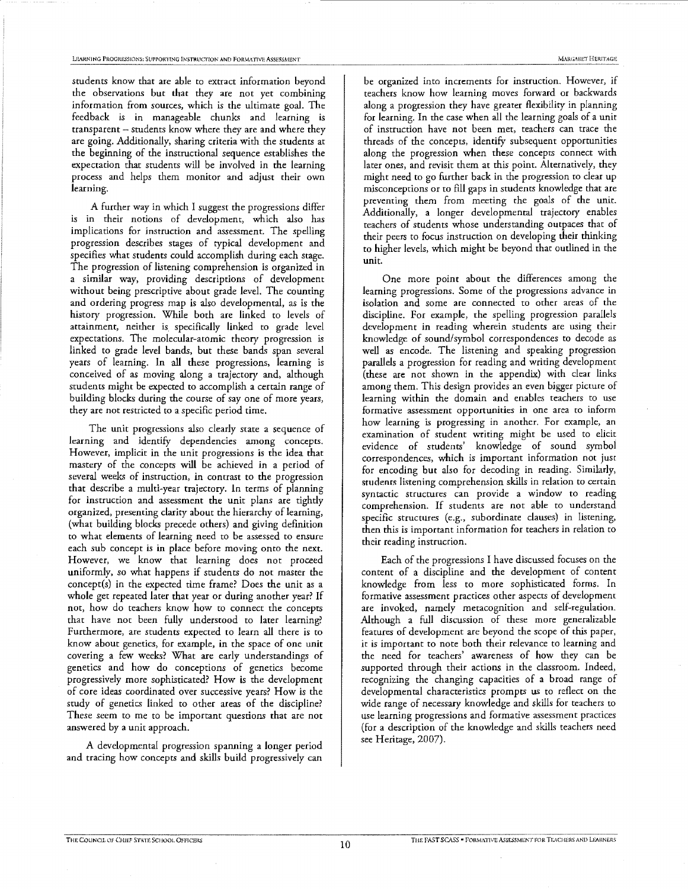students know that are able to extract information beyond the observations but that they are not yet combining information from sources, which is the ultimate goal. The feedback *is* in manageable chunks and learning is transparent - students know where they are and where they are going. Additionally, sharing criteria with the students at the beginning of the instructional sequence establishes the expectation that students will be involved in the learning process and helps them monitor and adjust their own learning.

A further way in which I suggest the progressions differ is in their notions of development, which also has implications for instruction and assessment. The spelling progression describes stages of typical development and specifies what students could accomplish during each stage. The progression of listening comprehension is organized in a similar way, providing descriptions of development without being prescriptive about grade level. The counting and ordering progress map *is* also developmental, as is the history progression. While both are linked to levels of attainment, neither is specifically linked to grade level expectations. The molecular-atomic theory progression is linked to grade level bands, but these bands span several years of learning. In all these progressions, learning is conceived of as moving along a trajectory and, although students might be expected to accomplish a certain range of building blocks during the course of say one of more years, they are not restricted to a specific period time.

The unit progressions also clearly state a sequence of learning and identify dependencies among concepts. However, implicit in the unit progressions is the idea that mastery of the concepts will be achieved in a period of several weeks of instruction, in contrast to the progression that describe a multi-year trajectory. In terms of planning for instruction and assessment the unit plans are tightly organized, presenting clarity about the hierarchy of learning, (what building blocks precede others) and giving definition to what elements of learning need to be assessed to ensure each sub concept is in place before moving onto the next. However, we know that learning does not proceed uniformly, *so* what happens if students do not master the concept(s) in the expected time frame? Does the unit as a whole get repeated later that year or during another year? If not, how do teachers know how to connect the concepts that have not been fully understood to later learning? Furthermore, are students expected to learn all there is to know about genetics, for example, in the space of one unit covering a few weeks? What are early understandings of genetics and how do conceptions of genetics become progressively more sophisticated? How is the development of core ideas coordinated over successive years? How is the study of genetics linked to other areas of the discipline? These seem to me to be important questions that are not answered by a unit approach.

A developmental progression spanning a longer period and tracing how concepts and skills build progressively can

be organized into increments for instruction. However, if teachers know how learning moves forward or backwards along a progression they have greater flexibility in planning for learning. In the case when all the learning goals of a unit of instruction have not been met, teachers can trace the threads of the concepts, identify subsequent opportunities along the progression when these concepts connect with later ones, and revisit them at this point. Alternatively, they might need to go further back in the progression to clear up misconceptions or to fill gaps in students knowledge that are preventing them from meeting the goals of the unir. Additionally, a longer developmental trajectory enables teachers of students whose understanding outpaces that of their peers to focus instruction on developing their thinking to higher levels, which might be beyond that outlined in the unit.

One more point about the differences among the learning progressions. Some of the progressions advance in isolation and some are connected to other areas of the discipline. For example, the spelling progression parallels development in reading wherein students are using their knowledge of sound/symbol correspondences to decode as well as encode. The listening and speaking progression parallels a progression for reading and writing development (these are not shown in the appendix) with clear links among them. This design provides an even bigger picture of learning within the domain and enables teachers to use formative assessment opportunities in one area to inform how learning is progressing in another. For example, an examination of student writing might be used to elicit evidence of students' knowledge of sound symbol correspondences, which is important information not just for encoding but also for decoding in reading. Similarly, students listening comprehension skills in relation to certain syntactic structures can provide a window to reading comprehension. If students are not able to understand specific structures (e.g., subordinate clauses) in listening, then this is important information for teachers in relation to their reading instruction.

Each of the progressions I have discussed focuses on the content of a discipline and the development of content knowledge from less to more sophisticated forms. In formative assessment practices other aspects of development are invoked, namely metacognition and self-regulation. Although a full discussion of these more generalizable features of development are beyond the scope of this paper, it is important to note both their relevance to learning and the need for teachers' awareness of how they can be supported through their actions in the classroom. Indeed, recognizing the changing capacities of a broad range of developmental characteristics prompts us to reflect on rhe wide range of necessary knowledge and skills for teachers to use learning progressions and formative assessment practices (for a description of the knowledge and skills teachers need see Heritage, 2007).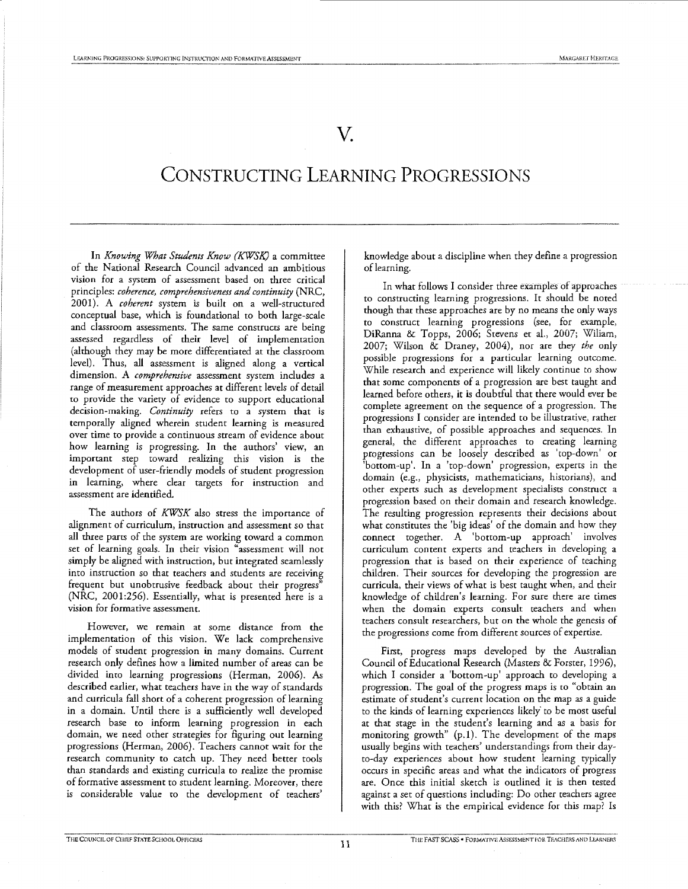# **v.**

# CONSTRUCTING LEARNING PROGRESSIONS

In *Knowing What Students Know (KWSK)* a committee of the National Research Council advanced an ambitious vision for a system of assessment based on three critical principles: *coherence, comprehensiveness and continuity* (NRC, 2001). A *coherent* system *is* built on a well-structured conceptual base, which *is* foundational to both large-scale and classroom assessments. The same constructs are being assessed regardless of their level of implementation (although they may be more differentiated at the classroom level). Thus, all assessment is aligned along a vertical dimension. A *comprehensive* assessment system includes a range of measurement approaches at different levels of detail to provide the variety of evidence to support educational decision-making. *Continuity* refers to a system that is temporally aligned wherein student learning is measured over time to provide a continuous stream of evidence about how learning is progressing. In the authors' view, an important step toward realizing this vision *is* the development of user-friendly models of student progression in learning, where clear targets for instruction and assessment are identified.

The authors of *KWSK* also stress the importance of alignment of curriculum, instruction and assessment so that all three parts of the system are working toward a common set of learning goals. In their vision "assessment will not simply be aligned with instruction, bur integrated seamlessly into instruction so that teachers and students are receiving frequent but unobtrusive feedback about their progress<sup>3</sup> (NRC, 2001:256). Essentially, what is presented here is a vision for formative assessment.

However, we remain at some distance from the implementation of this vision. We lack comprehensive models of student progression in many domains. Current research only defines how a limited number of areas can be divided into learning progressions (Herman, 2006). As described earlier, what teachers have in the way of standards and curricula fall short of a coherent progression of learning in a domain. Until there is a sufficiently well developed research base to inform learning progression in each domain, we need other strategies for figuring out learning progressions (Herman, 2006). Teachers cannot wait for the research community to catch up. They need better tools than standards and existing curricula to realize the promise of formative assessment to student learning. Moreover, there is considerable value to the development of teachers'

knowledge about a discipline when they define a progression of learning.

In what follows I consider three examples of approaches to constructing learning progressions. It should be noted though that these approaches are by no means the only ways to construct learning progressions (see, for example, DiRanna & Topps, 2006; Stevens et al., 2007; Wiliam, 2007; Wilson & Draney, 2004), nor are they *the* only possible progressions for a particular learning outcome. While research and experience will likely continue to show that some components of a progression are best taught and learned before others, it *is* doubtful that there would ever be complete agreement on the sequence of a progression. The progressions I consider are intended to be illustrative, rather than exhaustive, of possible approaches and sequences. In general, the different approaches to creating learning progressions can be loosely described as 'top-down' or 'bottom-up'. In a 'top-down' progression, experts in the domain (e.g., physicists, mathematicians, historians), and other experts such as development specialists construct a progression based on their domain and research knowledge. The resulting progression represents their decisions about what constitutes the 'big ideas' of the domain and how they connect together. A 'bottom-up approach' involves curriculum content experts and teachers in developing a progression that is based on their experience of teaching children. Their sources for developing the progression are curricula, their views of what is best taught when, and their knowledge of children's learning. For sure there are times when the domain experts consult teachers and when teachers consult researchers, but on the whole the genesis of the progressions come from different sources of expertise.

First, progress maps developed by the Australian Council of Educational Research (Masters & Forster, 1996), which I consider a 'bottom-up' approach to developing a progression. The goal of the progress maps *is* to "obtain an estimate of student's current location on the map as a guide to the kinds of learning experiences likely' to be most useful at that stage in the student's learning and as a basis for monitoring growth" (p.l). The development of the maps usually begins with teachers' understandings from their dayto-day experiences about how student learning typically occurs in specific areas and what the indicators of progress are. Once this initial sketch is outlined it is then tested against a set of questions including: Do other teachers agree with this? What is the empirical evidence for this map? Is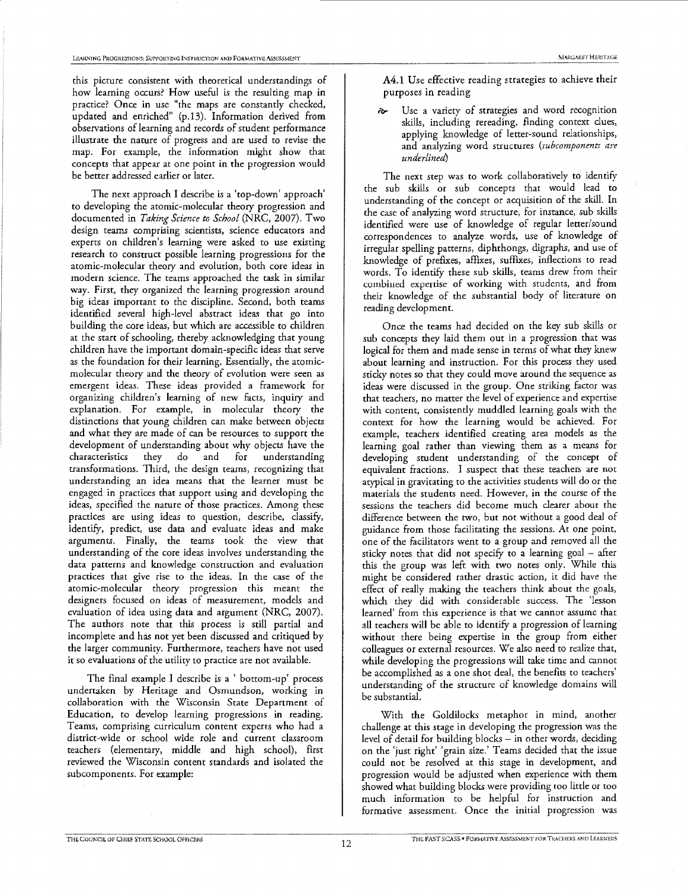this picture consistent with theoretical understandings of how learning occurs? How useful is the resulting map in practice? Once in use "the maps are constantly checked, updated and enriched" (p.13). Information derived from observations of learning and records of student performance illustrate the nature of progress and are used to revise the map. For example, the information might show that concepts that appear at one point in the progression would be better addressed earlier or later.

The next approach I describe is a 'top-down' approach' to developing the atomic-molecular theory progression and documented in *Taking Science to School* (NRC, 2007). Two design teams comprising scientists, science educators and experts on children's learning were asked to use existing research to construct possible learning progressions for the atomic-molecular theory and evolution, both core ideas in modern science. The teams approached the task in similar way. First, they organized the learning progression around big ideas important to the discipline. Second, both teams identified several high-level abstract ideas that go into building the core ideas, but which are accessible to children at the start of schooling, thereby acknowledging that young children have the important domain-speciflc ideas that serve as the foundation for their learning. Essentially, the atomicmolecular theory and the theory of evolution were seen as emergent ideas. These ideas provided a framework for organizing children's learning of new facts, inquiry and explanation. For example, in molecular theory the distinctions that young children can make between objects and what they are made of can be resources to support the development of understanding about why objects have the characteristics they do and for understanding transformations. Third, the design teams, recognizing that understanding an idea means that the learner must be engaged in practices that support using and developing the ideas, specified the nature of those practices. Among these practices are using ideas to question, describe, classify, identify, predict, use data and evaluate ideas and make arguments. Finally, the teams took the view that understanding of the core ideas involves understanding the data patterns and knowledge construction and evaluation practices that give rise to the ideas. In the case of the atomic-molecular theory progression this meant the designers focused on ideas of measurement, models and evaluation of idea using data and argument (NRC, 2007). The authors note that this process *is* still partial and incomplete and has not yet been discussed and critiqued by the larger community. Furthermore, teachers have not used it so evaluations of the utility to practice are not available.

The final example I describe is a ' bottom-up' process undertaken by Heritage and Osmundson, working in collaboration with the Wisconsin State Department of Education, to develop learning progressions in reading. Teams, comprising curriculum content experts who had a district-wide or school wide role and current classroom teachers (elementary, middle and high school), flrst reviewed the Wisconsin content standards and isolated the subcomponents. For example:

A4.1 Use effective reading strategies to achieve their purposes in reading

Use a variety of strategies and word recognition skills, including rereading, finding context clues, applying knowledge of letter-sound relationships, and analyzing word structures *(subcomponents are underlined)* 

The next step was to work collaboratively to identify the sub skills or sub concepts that would lead to understanding of the concept or acquisition of the skill. In the case of analyzing word structure, for instance, sub skills identifled were use of knowledge of regular letter/sound correspondences to analyze words, use of knowledge of irregular spelling patterns, diphthongs, digraphs, and use of knowledge of prefixes, affixes, suffixes, inflections to read words. To identify these sub skills, teams drew from their combined expertise of working with students, and from their knowledge of the substantial body of literature on reading development.

Once the teams had decided on the key sub skills or sub concepts they laid them out in a progression that was logical for them and made sense in terms of what they knew about learning and instruction. For this process they used sticky notes *so* that they could move around the sequence as ideas were discussed in the group. One striking factor was that teachers, no matter the level of experience and expertise with content, consistently muddled learning goals with the context for how the learning would be achieved. For example, teachers identified creating area models as the learning goal rather than viewing them as a means for developing student understanding of the concept of equivalent fractions. I suspect that these teachers are not atypical in gravitating to the activities students will do or the materials the students need. However, in the course of the sessions the teachers did become much clearer about the difference between the two, but not without a good deal of guidance from those facilitating the sessions. At one point, one of the facilitators went to a group and removed all the sticky notes that did not specify to a learning goal - after this the group was left with two notes only. While rhis might be considered rather drastic action, it did have the effect of really making the teachers think about the goals, which they did with considerable success. The 'lesson learned' from this experience is that we cannot assume that all teachers will be able to identify a progression of learning without there being expertise in the group from either colleagues or external resources. We also need to realize that, while developing the progressions will take time and cannot be accomplished as a one shot deal, the benefits to teachers' understanding of the structure of knowledge domains will be substantial.

With the Goldilocks metaphor in mind, another challenge at this stage in developing the progression was the level of detail for building blocks  $-$  in other words, deciding on the 'just right' 'grain size.' Teams decided that the issue could not be resolved at this stage in development, and progression would be adjusted when experience with them showed what building blocks were providing too little or too much information to be helpful for instruction and formative assessment. Once the initial progression was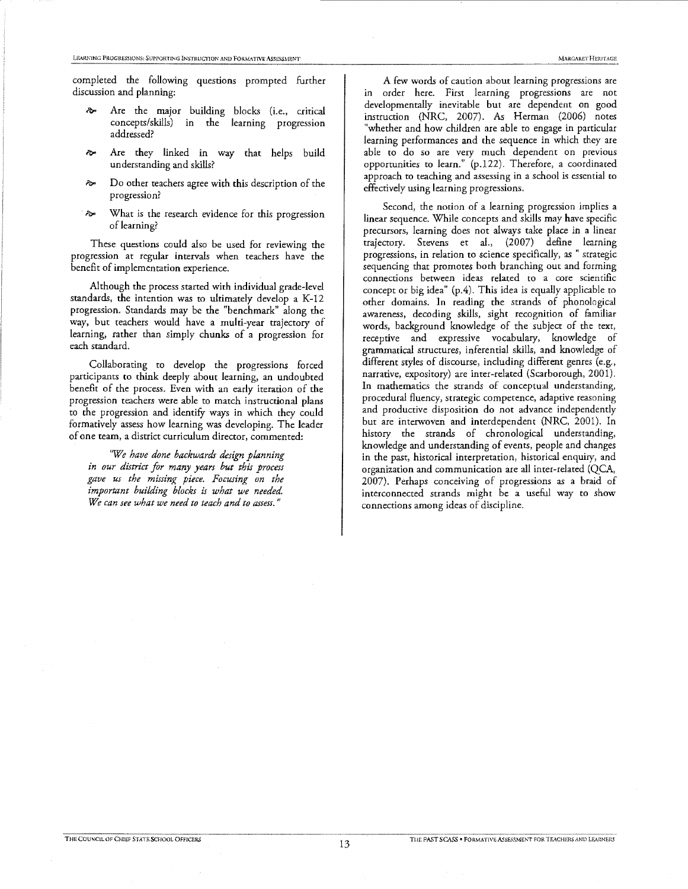completed the following questions prompted further discussion and planning:

- ~ Are the major building blocks (i.e., critical concepts/skills) in the learning progression addressed?
- ~ Are they linked in way that helps build understanding and skills?
- ~ Do other teachers agree with this description of the progression?
- ~ What is the research evidence for this progression of learning?

These questions could also be used for reviewing the progression at regular intervals when teachers have the benefit of implementation experience.

Although the process started with individual grade-level standards, the intention was to ultimately develop a K-12 progression. Standards may be the "benchmark" along the way, but teachers would have a multi-year trajectory of learning, rather than simply chunks of a progression for each standard.

Collaborating to develop the progressions forced participants to think deeply about learning, an undoubted benefit of the process. Even with an early iteration of the progression teachers were able to match instructional plans to the progression and identify ways in which they could formatively assess how learning was developing. The leader of one team, a district curriculum director, commented:

*"We have done backwards design planning in our district far many years but this process gave us the missing piece. Focusing on the important building blocks is what we needed. We can see what we need to teach and to assess.* "

A few words of caution about learning progressions are in order here. First learning progressions are not developmentally inevitable but are dependent on good instruction (NRC, 2007). As Herman (2006) notes "whether and how children are able to engage in particular learning performances and the sequence in which they are able to do so are very much dependent on previous opportunities to learn." (p.122). Therefore, a coordinated approach to teaching and assessing in a school is essential to effectively using learning progressions.

Second, the notion of a learning progression implies a linear sequence. While concepts and skills may have specific precursors, learning does not always take place in a linear trajectory. Stevens et al., (2007) define learning progressions, in relation to science specifically, as " strategic sequencing that promotes both branching out and forming connections between ideas related to a core scientific concept or big idea" (p.4). This idea is equally applicable to other domains. In reading the strands of phonological awareness, decoding skills, sight recognition of familiar words, background knowledge of the subject of the text, receptive and expressive vocabulary, knowledge of grammatical structures, inferential skills, and knowledge of different styles of discourse, including different genres (e.g., narrative, expository) are inter-related (Scarborough, 2001). In mathematics the strands of conceptual understanding, procedural fluency, strategic competence, adaptive reasoning and productive disposition do not advance independently but are interwoven and interdependent (NRC, 2001). In history the strands of chronological understanding, knowledge and understanding of events, people and changes in the past, historical interpretation, historical enquiry, and organization and communication are all inter-related (QCA, 2007). Perhaps conceiving of progressions as a braid of interconnected strands might be a useful way to show connections among ideas of discipline.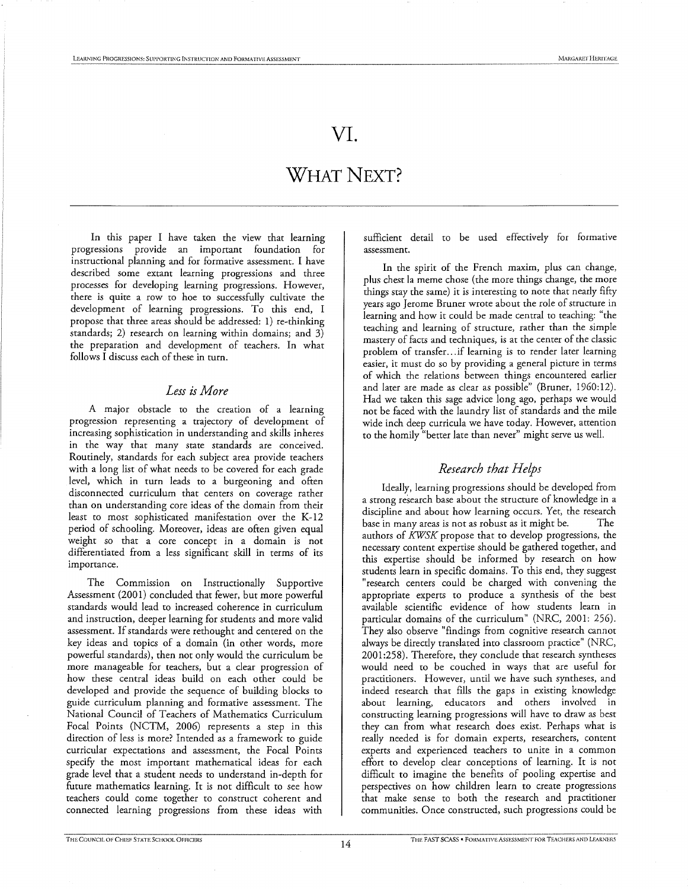# VI.

# WHAT NEXT?

In this paper I have taken the view that learning progressions provide an important foundation for instructional planning and for formative assessment. I have described some extant learning progressions and three processes for developing learning progressions. However, there is quite a row to hoe to successfully cultivate the development of learning progressions. To this end, I propose that three areas should be addressed: 1) re-thinking standards; 2) research on learning within domains; and 3) the preparation and development of teachers. In what follows  $\hat{I}$  discuss each of these in turn.

#### *Less is More*

A major obstacle to the creation of a learning progression representing a trajectory of development of increasing sophistication in understanding and skills inheres in the way that many state standards are conceived. Routinely, standards for each subject area provide teachers with a long list of what needs to be covered for each grade level, which in turn leads to a burgeoning and often disconnected curriculum that centers on coverage rather than on understanding core ideas of the domain from their least to most sophisticated manifestation over the K-12 period of schooling. Moreover, ideas are often given equal weight so that a core concept in a domain is not differentiated from a less significant skill in terms of its importance.

The Commission on Instructionally Supportive Assessment (2001) concluded that fewer, but more powerful standards would lead to increased coherence in curriculum and instruction, deeper learning for students and more valid assessment. If standards were rethought and centered on the key ideas and topics of a domain (in other words, more powerful standards), then not only would the curriculum be more manageable for teachers, but a clear progression of how these central ideas build on each other could be developed and provide the sequence of building blocks to guide curriculum planning and formative assessment. The National Council of Teachers of Mathematics Curriculum Focal Points (NCTM, 2006) represents a step in this direction of less is more? Intended as a framework to guide curricular expectations and assessment, the Focal Points specify the most important mathematical ideas for each grade level that a student needs to understand in-depth for future mathematics learning. It is not difficult to see how teachers could come together to construct coherent and connected learning progressions from these ideas with

sufficient detail to be used effectively for formative assessment.

In the spirit of the French maxim, plus can change, plus chest la meme chose (the more things change, the more things stay the same) it is interesting to note that nearly fifty years ago Jerome Bruner wrote about the role of structure in learning and how it could be made central to teaching: "the teaching and learning of structure, rather than the simple mastery of facts and techniques, is at the center of the classic problem of transfer. . .if learning is to render later learning easier, it must do so by providing a general picture in terms of which the relations between things encountered earlier and later are made as clear as possible" (Bruner, 1960:12). Had we taken this sage advice long ago, perhaps we would not be faced with the laundry list of standards and the mile wide inch deep curricula we have today. However, attention to the homily "better late than never" might serve us well.

#### *Research that Helps*

Ideally, learning progressions should be developed from a strong research base about the structure of knowledge in a discipline and about how learning occurs. Yet, the research base in many areas is not as robust as it might be. The authors of *KWSK* propose that to develop progressions, the necessary content expertise should be gathered together, and this expertise should be informed by research on how students learn in specific domains. To this end, they suggest "research centers could be charged with convening the appropriate experts to produce a synthesis of the best available scientific evidence of how students learn in particular domains of the curriculum" (NRC, 2001: 256). They also observe "findings from cognitive research cannot always be directly translated into classroom practice" (NRC, 2001 :258). Therefore, they conclude that research syntheses would need to be couched in ways that are useful for practitioners. However, until we have such syntheses, and indeed research that fills the gaps in existing knowledge about learning, educators and others involved in constructing learning progressions will have to draw as best they can from what research does exist. Perhaps what is really needed is for domain experts, researchers, content experts and experienced teachers to unite in a common effort to develop clear conceptions of learning. It is not difficult to imagine the benefits of pooling expertise and perspectives on how children learn to create progressions that make sense to both the research and practitioner communities. Once constructed, such progressions could be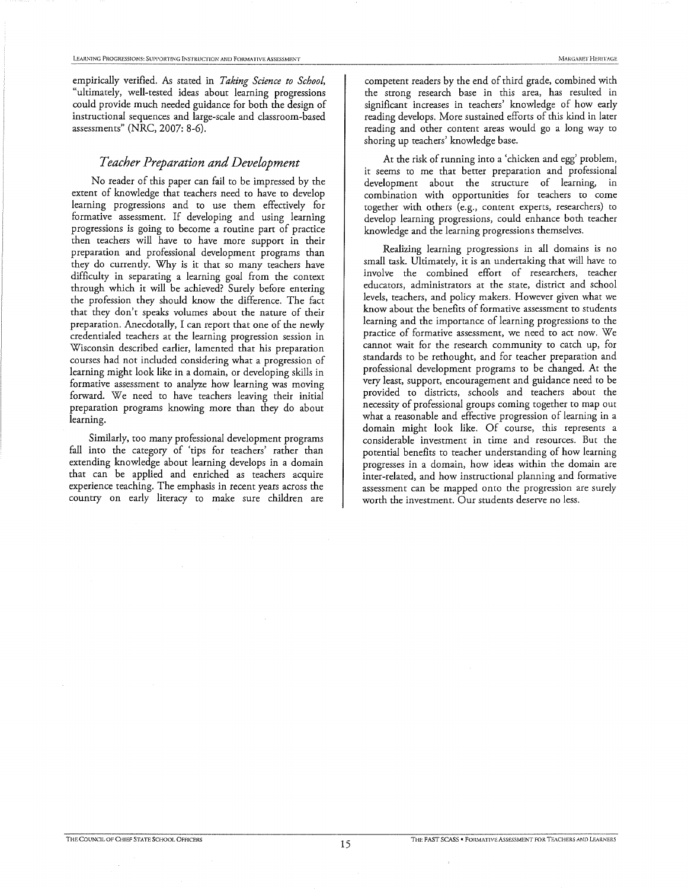empirically verified. As stated in *Taking Science to School,*  "ultimately, well-tested ideas about learning progressions could provide much needed guidance for both the design of instructional sequences and large-scale and classroom-based assessments" (NRC, 2007: 8-6).

### *Teacher Preparation and Development*

No reader of this paper can fail to be impressed by the extent of knowledge that teachers need to have to develop learning progressions and to use them effectively for formative assessment. If developing and using learning progressions is going to become a routine part of practice then teachers will have to have more support in their preparation and professional development programs than they do currently. Why is it that so many teachers have difficulty in separating a learning goal from the context through which it will be achieved? Surely before entering the profession they should know the difference. The fact that they don't speaks volumes about the nature of their preparation. Anecdotally, I can report that one of the newly credentialed teachers at the learning progression session in Wisconsin described earlier, lamented that his preparation courses had not included considering what a progression of learning might look like in a domain, or developing skills in formative assessment to analyze how learning was moving forward. We need to have teachers leaving their initial preparation programs knowing more than they do about learning.

Similarly, too many professional development programs fall into the category of 'tips for teachers' rather than extending knowledge about learning develops in a domain that can be applied and enriched as teachers acquire experience teaching. The emphasis in recent years across the country on early literacy to make sure children are

competent readers by the end of third grade, combined with the strong research base in this area, has resulted in significant increases in teachers' knowledge of how early reading develops. More sustained efforts of this kind in later reading and other content areas would go a long way to shoring up teachers' knowledge base.

At the risk of running into a 'chicken and egg' problem, it seems to me that better preparation and professional development about the structure of learning, in combination with opportunities for teachers to come together with others (e.g., content experts, researchers) to develop learning progressions, could enhance both teacher knowledge and the learning progressions themselves.

Realizing learning progressions in all domains is no small task. Ultimately, it is an undertaking that will have to involve the combined effort of researchers, teacher educators, administrators at the state, district and school levels, teachers, and policy makers. However given what we know about the benefits of formative assessment to students learning and the importance of learning progressions to the practice of formative assessment, we need to act now. We cannot wait for the research community to catch up, for standards to be rethought, and for teacher preparation and professional development programs to be changed. At the very least, support, encouragement and guidance need to be provided to districts, schools and teachers about the necessity of professional groups coming together to map out what a reasonable and effective progression of learning in a domain might look like. Of course, this represents a considerable investment in time and resources. But the potential benefits to teacher understanding of how learning progresses in a domain, how ideas within the domain are inter-related, and how instructional planning and formative assessment can be mapped onto the progression are surely worth the investment. Our students deserve no less.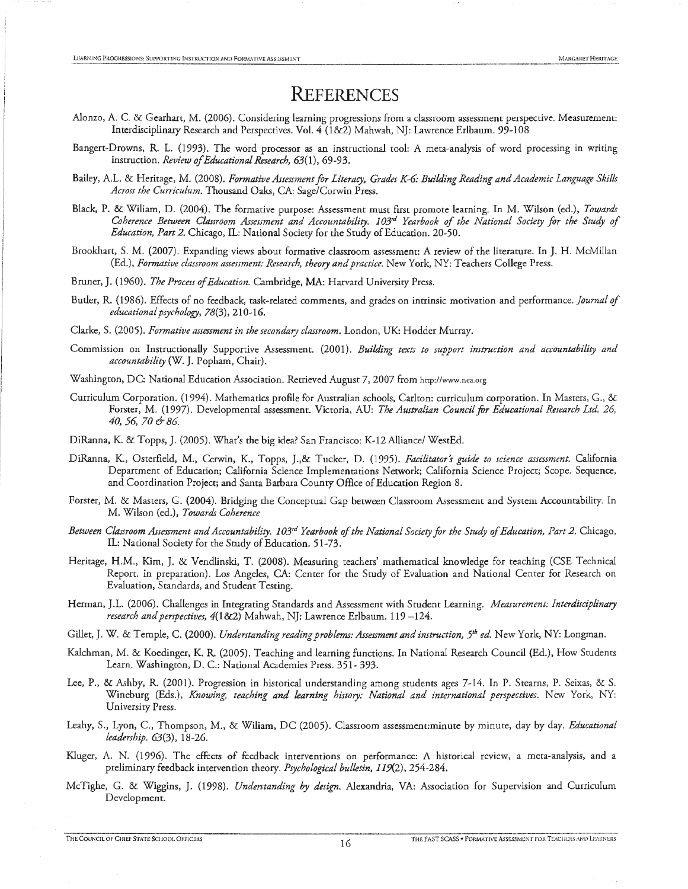## **REFERENCES**

- Alonzo, A. C. & Gearhart, M. (2006). Considering learning progressions from a classroom assessment perspective. Measurement: Interdisciplinary Research and Perspectives. Vol. 4 (1&2) Mahwah, NJ: Lawrence Erlbaum. 99-108
- Bangert-Drowns, R. L. (1993). The word processor as an instructional tool: A meta-analysis of word processing in writing instruction. *Review of Educational Research, 63(1),* 69-93.
- Bailey, A.L. & Heritage, M. (2008). *Formative Assessment for Literacy, Grades K-6: Building Reading and Academic Language Skills Across the Curriculum.* Thousand Oaks, CA: Sage/Corwin Press.
- Black, P. & Wiliam, D. (2004). The formative purpose: Assessment must first promote learning. In M . Wilson (ed.), *Towards Coherence Between Classroom Assessment and Accountability. 103'd Yearbook of the N ational Society for the Study of Education, Part 2.* Chicago, IL: National Society for the Study of Education. 20-50.
- Brookhart, S. M. (2007). Expanding views about formative classroom assessment: A review of the literature. In J. H. McMillan (Ed.), *Formative classroom assessment: Research, theory and practice.* New York, NY: Teachers College Press.
- Bruner, J. (1960). *The Process of Education.* Cambridge, MA: Harvard University Press.
- Butler, R. (1986). Effects of no feedback, task-related comments, and grades on intrinsic motivation and performance. *journal of educational psychology, 78(3),* 210-16.
- Clarke, S. (2005). *Formative assessment in the secondary classroom.* London, UK: Hodder Murray.
- Commission on Instructionally Supportive Assessment. (2001). *Building texts to support instruction and accountability and accountability* (W. J. Popham, Chair).
- Washington, DC: National Education Association. Retrieved August 7, 2007 from http://www.nea.org
- Curriculum Corporation. (1994). Mathematics proflle for Australian schools, Carlton: curriculum corporation. In Masters, G., & Forster, M. (1997). Developmental assessment. Victoria, AU: *The Australian Council for Educational Research Ltd. 26, 40, 56, 10* & *86.*
- DiRanna, K. & Topps, J. (2005). What's the big idea? San Francisco: K-12Alliance/ WestEd.
- DiRanna, K., Osterfleld, M., Cerwin, K., Topps, J.,& Tucker, D. (1995). *Facilitator's guide to science assessment.* California Department of Education; California Science Implementations Network; California Science Project; Scope. Sequence, and Coordination Project; and Santa Barbara County Office of Education Region 8.
- Forster, M. & Masters, G. (2004). Bridging the Conceptual Gap between Classroom Assessment and System Accountability. In M. Wilson (ed.), *Towards Coherence*
- *Between Classroom Assessment and Accountability. 103'd Yearbook of the National Society for the Study of Education, Part 2.* Chicago, IL: National Society for the Study of Education. 51-73.
- Heritage, H.M., Kim, J. & Vendlinski, T. (2008). Measuring teachers' mathematical knowledge for teaching (CSE Technical Report. in preparation). Los Angeles, CA: Center for the Study of Evaluation and National Center for Research on Evaluation, Standards, and Student Testing.
- Herman, J.L. (2006). Challenges in Integrating Standards and Assessment with Student Learning. *Measurement: Interdisciplinary*  research and perspectives, 4(1&2) Mahwah, NJ: Lawrence Erlbaum. 119 -124.
- Gillet, J. W. & Temple, C. (2000). *Understanding reading problems: Assessment and instruction, 5<sup>th</sup> ed. New York, NY: Longman.*
- Kalchman, M. & Koedinger, K. R. (2005). Teaching and learning functions. In National Research Council (Ed.), How Students Learn. Washington, D. C.: National Academies Press. 351- 393.
- Lee, P., & Ashby, R. (2001). Progression in historical understanding among students ages 7-14. In P. Stearns, P. Seixas, & S. Wineburg (Eds.), *Knowing, teaching and learning history: National and international perspectives. New York, NY:* University Press.
- Leahy, S., Lyon, C., Thompson, M., & Wiliam, DC (2005). Classroom assessment:minute by minute, day by day. *Educational leadership. 63 (3),* 18-26.
- Kluger, A. N. (1996). The effects of feedback interventions on performance: A historical review, a meta-analysis, and a preliminary feedback intervention theory. *Psychological bulletin, 119(2),* 254-284.
- McTighe, G. & Wiggins, J. (1998). *Understanding by design.* Alexandria, VA: Association for Supervision and Curriculum Development.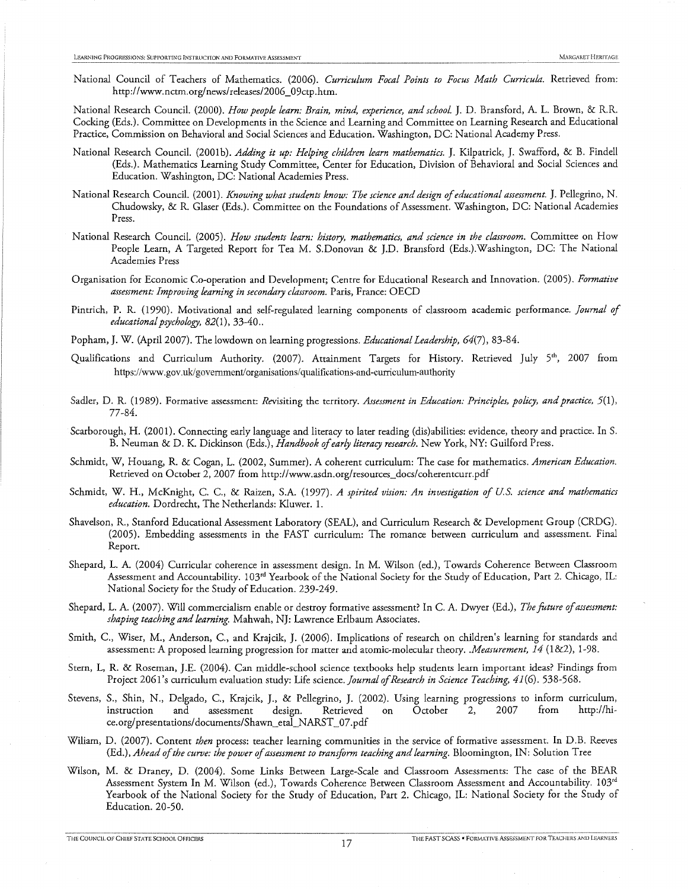National Council of Teachers of Mathematics. (2006). *Curriculum Focal Points to Focus Math Curricula.* Retrieved from: http://www.nctm.org/news/releases/2006\_09ctp.htm.

National Research Council. (2000). *How people learn: Brain, mind, experience, and school.* J. D. Bransford, A. L. Brown, & R.R. Cocking (Eds.j. Committee on Developments in the Science and Learning and Committee on Learning Research and Educational Practice, Commission on Behavioral and Social Sciences and Education. Washington, DC: National Academy Press.

- National Research Council. (2001b). *Adding it up: Helping children learn mathematics.* J. Kilpatrick, J. Swafford, & B. Findell (Eds.). Mathematics Learning Study Committee, Center for Education, Division of Behavioral and Social Sciences and Education. Washington, DC: National Academies Press.
- National Research Council. (2001). *Knowing what students know: The science and design of educational assessment.* J. Pellegrino, N. Chudowsky, & R Glaser (Eds.). Committee on the Foundations of Assessment. Washington, DC: National Academies Press.
- National Research Council. (2005). *How students learn: history, mathematics, and science in the classroom.* Committee on How People Learn, A Targeted Report for Tea M. S.Donovan & J.D. Bransford (Eds.).Washington, DC: The National Academies Press
- Organisation for Economic Co-operation and Development; Centre for Educational Research and Innovation. (2005). *Formative assessment: Improving learning in secondary classroom.* Paris, France: OECD
- Pintrich, P. R. (1990). Motivational and self-regulated learning components of classroom academic performance. *Journal of educational psychology, 82(1),* 33-40 ..
- Popham, J. W. (April 2007). The lowdown on learning progressions. *Educational Leadership, 64(7),* 83-84.
- Qualifications and Curriculum Authority. (2007). Attainment Targets for History. Retrieved July 5<sup>th</sup>, 2007 from https://www.gov.uk/government/organisations/qualifications-and-curriculum-authority
- Sadler, D. R. (1989). Formative assessment: Revisiting the territory. *Assessment in Education: Principles, policy, and practice,* 5(1), 77-84.
- Scarborough, H. (2001). Connecting early language and literacy to later reading (dis)abilities: evidence, theory and practice. In S. B. Neuman & D. K. Dickinson (Eds.), *Handbook of early literacy research.* New York, NY: Guilford Press.
- Schmidt, W, Houang, R. & Cogan, L. (2002, Summer). A coherent curriculum: The case for mathematics. *American Education.*  Retrieved on October 2, 2007 from http://www.asdn.org/resources\_docs/coherentcurr.pdf
- Schmidt, W. H., McKnight, C. C., & Raizen, S.A. (1997). *A spirited vision: An investigation of U.S. science and mathematics education.* Dordrecht, The Netherlands: Kluwer. 1.
- Shavelson, R., Stanford Educational Assessment Laboratory (SEAL), and Curriculum Research & Development Group (CRDG). (2005). Embedding assessments in the FAST curriculum: The romance between curriculum and assessment. Final Report.
- Shepard, L.A. (2004) Curricular coherence in assessment design. In M. Wilson (ed.), Towards Coherence Between Classroom Assessment and Accountability. 103'd Yearbook of the National Society for the Study of Education, Part 2. Chicago, IL: National Society for the Study of Education. 239-249.
- Shepard, L.A. (2007). Will commercialism enable or destroy formative assessment? In C. A. Dwyer (Ed.), *The future of assessment: shaping teaching and learning.* Mahwah, NJ: Lawrence Erlbaum Associates.
- Smith, C., Wiser, M., Anderson, C., and Krajcik, J. (2006). Implications of research on children's learning for standards and assessment: A proposed learning progression for matter and atomic-molecular theory . *. Measurement, 14* (1&2), 1-98.
- Stern, L, R. & Roseman, J.E. (2004). Can middle-school science textbooks help students learn important ideas? Findings from Project 2061 's curriculum evaluation study: Life science. *Journal of Research in Science Teaching, 41* (6). 538-568.
- Stevens, S., Shin, N., Delgado, C., Krajcik, J., & Pellegrino, J. (2002). Using learning progressions to inform curriculum, instruction and assessment design. Retrieved on October 2, 2007 from http://hice.org/presentations/documents/Shawn\_etal\_NARST\_07.pdf
- Wiliam, D. (2007). Content *then* process: teacher learning communities in the service of formative assessment. In D.B. Reeves (Ed.), *Ahead of the curve: the power of assessment to transform teaching and learning.* Bloomington, IN: Solution Tree
- Wilson, M. & Draney, D. (2004). Some Links Between Large-Scale and Classroom Assessments: The case of the BEAR Assessment System In M. Wilson (ed.), Towards Coherence Between Classroom Assessment and Accountability. 103'd Yearbook of the National Society for the Study of Education, Part 2. Chicago, IL: National Society for the Study of Education. 20-50.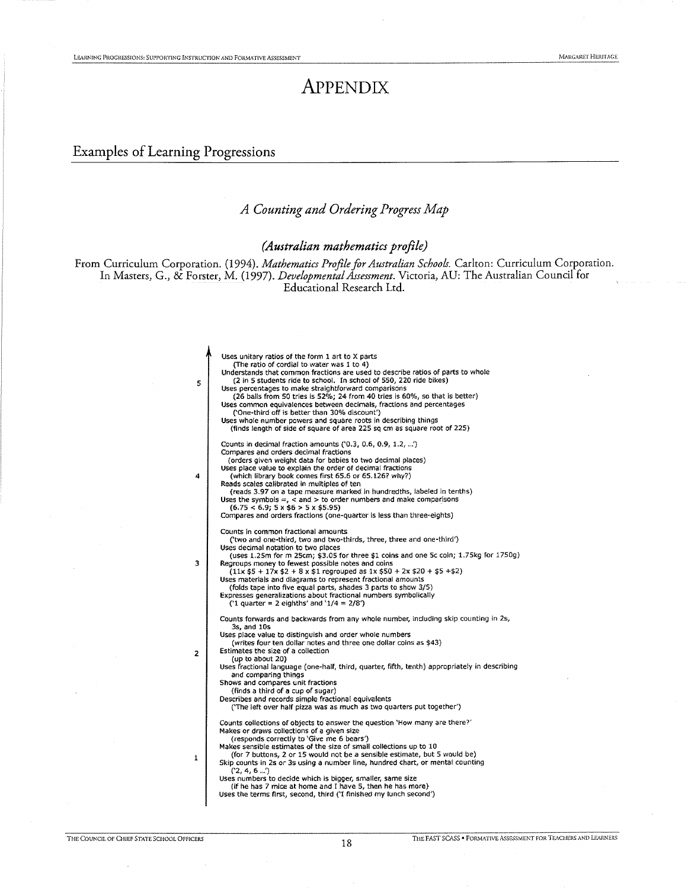# APPENDIX

## Examples of Learning Progressions

4

3

2

1

## *A Counting and Ordering Progress Map*

*(Australian mathematics profile)* 

From Curriculum Corporation. (1994). *Mathematics Profile for Australian Schools.* Carlton: Curriculum Corporation. In Masters, G., & Forster, M. (1997). *Developmental Assessment.* Victoria, AU: The Australian Council for Educational Research Ltd.

| 5 | Uses unitary ratios of the form 1 art to X parts<br>(The ratio of cordial to water was 1 to 4)<br>Understands that common fractions are used to describe ratios of parts to whole<br>(2 in 5 students ride to school. In school of 550, 220 ride bikes)<br>Uses percentages to make straightforward comparisons<br>$(26$ balls from 50 tries is 52%; 24 from 40 tries is 60%, so that is better)<br>Uses common equivalences between decimals, fractions and percentages<br>('One-third off is better than 30% discount')<br>Uses whole number powers and square roots in describing things<br>(finds length of side of square of area 225 sq cm as square root of 225) |
|---|-------------------------------------------------------------------------------------------------------------------------------------------------------------------------------------------------------------------------------------------------------------------------------------------------------------------------------------------------------------------------------------------------------------------------------------------------------------------------------------------------------------------------------------------------------------------------------------------------------------------------------------------------------------------------|
| 4 | Counts in decimal fraction amounts ( $0.3, 0.6, 0.9, 1.2, $ )<br>Compares and orders decimal fractions<br>(orders given weight data for babies to two decimal places)<br>Uses place value to explain the order of decimal fractions<br>(which library book comes first 65.6 or 65.126? why?)<br>Reads scales calibrated in multiples of ten<br>(reads 3.97 on a tape measure marked in hundredths, labeled in tenths)<br>Uses the symbols $=$ , $\lt$ and $>$ to order numbers and make comparisons<br>$(6.75 < 6.9; 5 \times $6 > 5 \times $5.95)$<br>Compares and orders fractions (one-quarter is less than three-eights)                                            |
| 3 | Counts in common fractional amounts<br>('two and one-third, two and two-thirds, three, three and one-third')<br>Uses decimal notation to two places<br>(uses 1.25m for m 25cm; \$3.05 for three \$1 coins and one 5c coin; 1.75kg for 1750g)<br>Regroups money to fewest possible notes and coins<br>$(11x $5 + 17x $2 + 8x $1$ regrouped as $1x $50 + 2x $20 + $5 + $2)$<br>Uses materials and diagrams to represent fractional amounts<br>(folds tape into five equal parts, shades 3 parts to show 3/5)<br>Expresses generalizations about fractional numbers symbolically<br>('1 quarter = 2 eighths' and '1/4 = 2/8')                                              |
| 2 | Counts forwards and backwards from any whole number, including skip counting in 2s,<br>3s. and 10s<br>Uses place value to distinguish and order whole numbers<br>(writes four ten dollar notes and three one dollar coins as \$43)<br>Estimates the size of a collection<br>(up to about 20)<br>Uses fractional language (one-half, third, quarter, fifth, tenth) appropriately in describing<br>and comparing things<br>Shows and compares unit fractions<br>(finds a third of a cup of sugar)<br>Describes and records simple fractional equivalents<br>('The left over half pizza was as much as two quarters put together')                                         |
| 1 | Counts collections of objects to answer the question 'How many are there?'<br>Makes or draws collections of a given size<br>(responds correctly to `Give me 6 bears')<br>Makes sensible estimates of the size of small collections up to 10<br>(for 7 buttons, 2 or 15 would not be a sensible estimate, but 5 would be)<br>Skip counts in 2s or 3s using a number line, hundred chart, or mental counting<br>(2, 4, 6)<br>Uses numbers to decide which is bigger, smaller, same size<br>(if he has 7 mice at home and I have 5, then he has more)<br>Uses the terms first, second, third ('I finished my lunch second')                                                |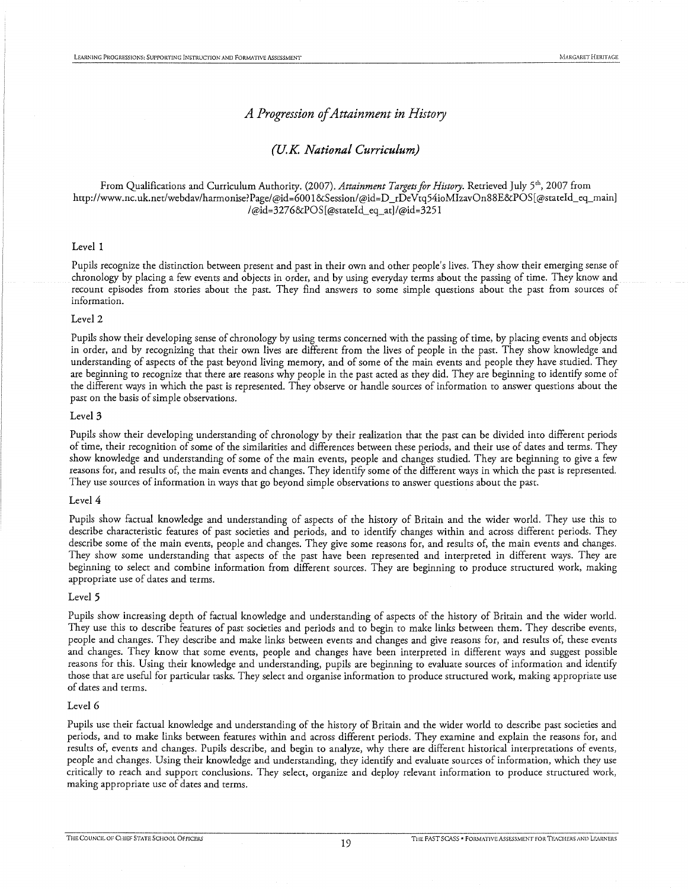### *A Progression of Attainment in History*

#### *{U.K National Curriculum}*

From Qualifications and Curriculum Authority. (2007). Attainment Targets for History. Retrieved July 5<sup>th</sup>, 2007 from http://www.nc.uk.net/webdav/harmonise?Page/@id=6001&Session/@id=D\_rDeVtq54ioMIzavOn88E&POS[@stateId\_eq\_main]  $\alpha$ id=3276&POS[@stateId eq\_at]/@id=3251

#### Level 1

Pupils recognize the distinction between present and past in their own and other people's lives. They show their emerging sense of chronology by placing a few events and objects in order, and by using everyday terms about the passing of time. They know and recount episodes from stories about the past. They find answers to some simple questions about the past from sources of information.

#### Level 2

Pupils show their developing sense of chronology by using terms concerned with the passing of time, by placing events and objects in order, and by recognizing that their own lives are different from the lives of people in the past. They show knowledge and understanding of aspects of the past beyond living memory, and of some of the main events and people they have studied. They are beginning to recognize that there are reasons why people in the past acted as they did. They are beginning to identify some of the different ways in which the past is represented. They observe or handle sources of information to answer questions about the past on the basis of simple observations.

#### Level 3

Pupils show their developing understanding of chronology by their realization that the past can be divided into different periods of time, their recognition of some of the similarities and differences between these periods, and their use of dates and terms. They show knowledge and understanding of some of the main events, people and changes studied. They are beginning to give a few reasons for, and results of, the main events and changes. They identify some of the different ways in which the past is represented. They use sources of information in ways that go beyond simple observations to answer questions about the past.

#### Level 4

Pupils show factual knowledge and understanding of aspects of the history of Britain and the wider world. They use this to describe characteristic features of past societies and periods, and to identify changes within and across different periods. They describe some of the main events, people and changes. They give some reasons for, and results of, the main events and changes. They show some understanding that aspects of the past have been represented and interpreted in different ways. They are beginning to select and combine information from different sources. They are beginning to produce structured work, making appropriate use of dates and terms.

#### Level 5

Pupils show increasing depth of factual knowledge and understanding of aspects of the history of Britain and the wider world. They use this to describe features of past societies and periods and to begin to make links between them. They describe events, people and changes. They describe and make links between events and changes and give reasons for, and results of, these events and changes. They know that some events, people and changes have been interpreted in different ways and suggest possible reasons for this. Using their knowledge and understanding, pupils are beginning to evaluate sources of information and identify those that are useful for particular tasks. They select and organise information to produce structured work, making appropriate use of dates and terms.

#### Level 6

Pupils use their factual knowledge and understanding of the history of Britain and the wider world to describe past societies and periods, and to make links between features within and across different periods. They examine and explain the reasons for, and results of, events and changes. Pupils describe, and begin to analyze, why there are different historical interpretations of events, people and changes. Using their knowledge and understanding, they identify and evaluate sources of information, which they use critically to reach and support conclusions. They select, organize and deploy relevant information to produce structured work, making appropriate use of dates and terms.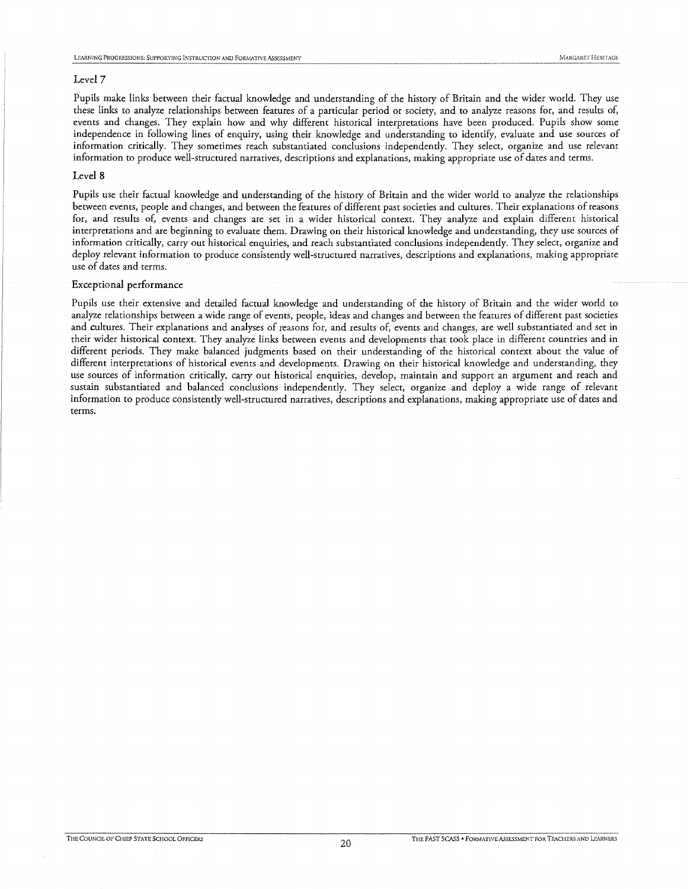# LF.ARNJNG PROGRESSIONS: SUPPORTING INSTRUCTION AND FOR/l.'lATIVEASSE.SS.\·1EN'J' MARGARET HE!U'l'AGE ... -·----····------.... ·-·-------------

#### Level 7

Pupils make links between their factual knowledge and understanding of the history of Britain and the wider world. They use these links to analyze relationships between features of a particular period or society, and to analyze reasons for, and results of, events and changes. They explain how and why different historical interpretations have been produced. Pupils show some independence in following lines of enquiry, using their knowledge and understanding to identify, evaluate and use sources of information critically. They sometimes reach substantiated conclusions independently. They select, organize and use relevant information to produce well-structured narratives, descriptions and explanations, making appropriate use of dates and terms.

#### Level 8

Pupils use their factual knowledge and understanding of the history of Britain and the wider world to analyze the relationships between events, people and changes, and between the features of different past societies and cultures. Their explanations of reasons for, and results of, events and changes are set in a wider historical context. They analyze and explain different historical interpretations and are beginning to evaluate them. Drawing on their historical knowledge and understanding, they use sources of information critically, carry out historical enquiries, and reach substantiated conclusions independently. They select, organize and deploy relevant information to produce consistently well-structured narratives, descriptions and explanations, making appropriate use of dates and terms.

#### Exceptional performance

Pupils use their extensive and detailed factual knowledge and understanding of the history of Britain and the wider world to analyze relationships between a wide range of events, people, ideas and changes and between the features of different past societies and cultures. Their explanations and analyses of reasons for, and results of, events and changes, are well substantiated and set in their wider historical context. They analyze links between events and developments that took place in different countries and in different periods. They make balanced judgments based on their understanding of the historical context about the value of different interpretations of historical events and developments. Drawing on their historical knowledge and understanding, they use sources of information critically, carry out historical enquiries, develop, maintain and support an argument and reach and sustain substantiated and balanced conclusions independently. They select, organize and deploy a wide range of relevant information to produce consistently well-structured narratives, descriptions and explanations, making appropriate use of dates and terms.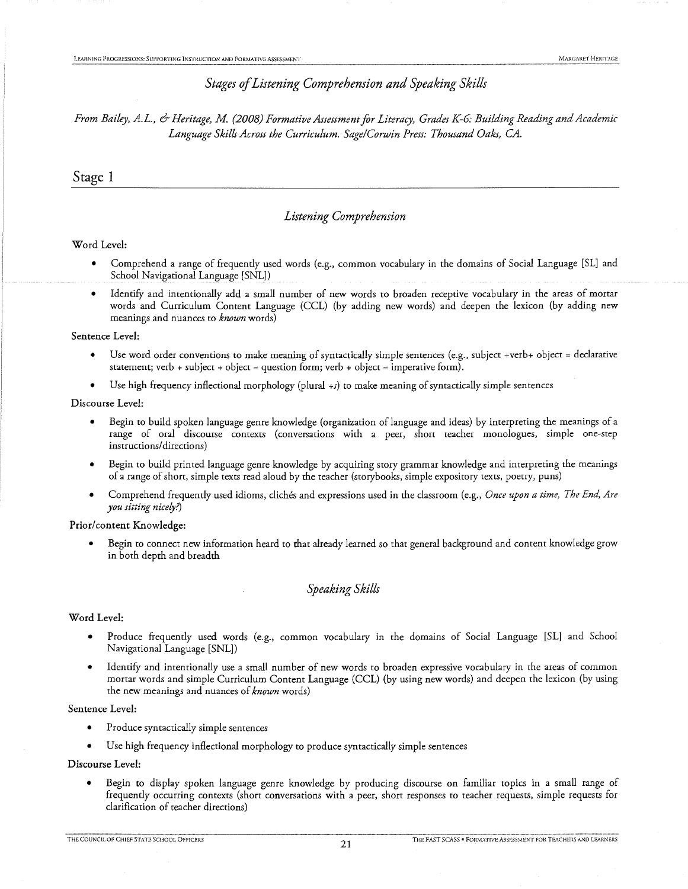### *Stages of Listening Comprehension and Speaking Skills*

*From Bailey, A.L.,* & *Heritage, M (2008) Formative Assessment for Literacy, Grades K-6: Building Reading and Academic Language Skills Across the Curriculum. Sage/Corwin Press: Thousand Oaks, CA.* 

Stage 1

### *Listening Comprehension*

#### Word Level:

- Comprehend a range of frequently used words (e.g., common vocabulary in the domains of Social Language [SL] and School Navigational Language [SNLJ)
- Identify and intentionally add a small number of new words to broaden receptive vocabulary in the areas of mortar words and Curriculum Content Language (CCL) (by adding new words) and deepen the lexicon (by adding new meanings and nuances to *known* words)

#### Sentence Level:

- Use word order conventions to make meaning of syntactically simple sentences (e.g., subject +verb+ object = declarative statement; verb + subject + object = question form; verb + object = imperative form).
- Use high frequency inflectional morphology (plural *+s)* to make meaning of syntactically simple sentences

#### Discourse Level:

- Begin to build spoken language genre knowledge (organization of language and ideas) by interpreting the meanings of a range of oral discourse contexts (conversations with a peer, short teacher monologues, simple one-step instructions/directions)
- Begin to build printed language genre knowledge by acquiring story grammar knowledge and interpreting the meanings of a range of short, simple texts read aloud by the teacher (storybooks, simple expository texts, poetry, puns)
- Comprehend frequently used idioms, cliches and expressions used in the classroom (e.g., *Once upon a time, The End, Are you sitting nicely?)*

#### Prior/content Knowledge:

• Begin to connect new information heard to that already learned so that general background and content knowledge grow in both depth and breadth

### *Speaking Skills*

#### Word Level:

- Produce frequently used words (e.g., common vocabulary in the domains of Social Language [SL] and School Navigational Language [SNL])
- Identify and intentionally use a small number of new words to broaden expressive vocabulary in the areas of common mortar words and simple Curriculum Content Language (CCL) (by using new words) and deepen the lexicon (by using the new meanings and nuances of *known* words)

#### Sentence Level:

- Produce syntactically simple sentences
- Use high frequency inflectional morphology to produce syntactically simple sentences

Discourse Level:

• Begin to display spoken language genre knowledge by producing discourse on familiar topics in a small range of frequently occurring contexts (short conversations with a peer, short responses to teacher requests, simple requests for clarification of teacher directions)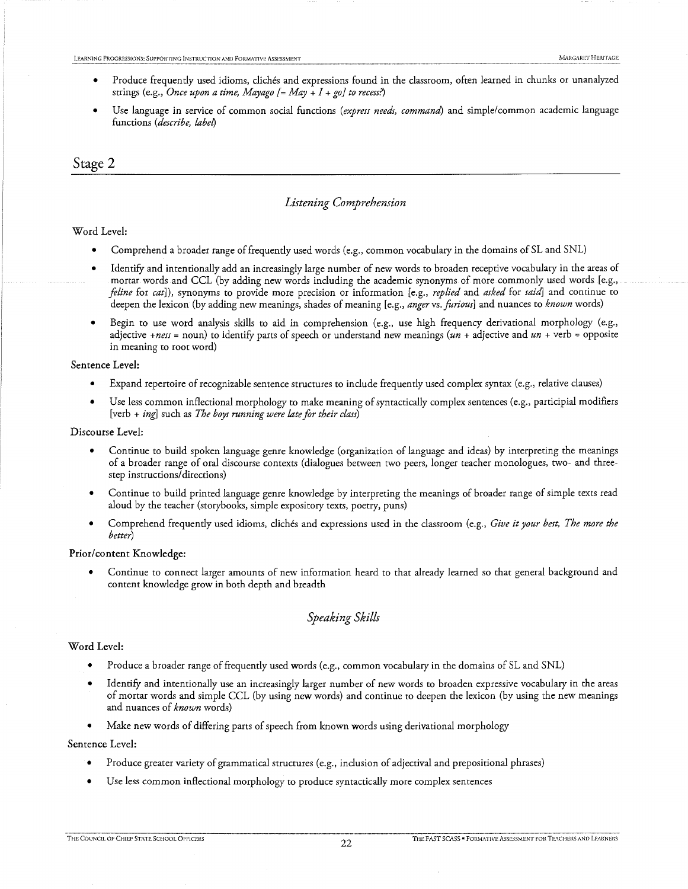#### LEARNING PROGRES\$101\S: SUPPORTING INSTRUCTION AND FORMATIVE ASSESSt.·1ENT \_\_\_ lV1ARG.'\RET HEllrl'AGE , \_\_\_ ,,,,\_,\_,,\_,, .. ,\_ .... ,

- Produce frequently used idioms, cliches and expressions found in the classroom, often learned in chunks or unanalyzed strings (e.g., *Once upon a time, Mayago [=May+ I+ go] to recess?)*
- Use language in service of common social functions *(express needs, command}* and simple/common academic language functions (*describe*, *label*)

### Stage 2

### *Listening Comprehension*

#### Word Level:

- Comprehend a broader range of frequently used words (e.g., common vocabulary in the domains of SL and SNL)
- Identify and intentionally add an increasingly large number of new words to broaden receptive vocabulary in the areas of mortar words and CCL (by adding new words including the academic synonyms of more commonly used words [e.g., *feline* for *cat]),* synonyms to provide more precision or information [e.g., *replied* and *asked* for *said]* and continue to deepen the lexicon (by adding new meanings, shades of meaning [e.g., *anger* vs. *furious]* and nuances to *known* words)
- Begin to use word analysis skills to aid in comprehension (e.g., use high frequency derivational morphology (e.g., adjective *+ness* = noun) to identify parts of speech or understand new meanings *(un* + adjective and *un* + verb = opposite in meaning to root word)

#### Sentence Level:

- Expand repertoire of recognizable sentence structures to include frequently used complex syntax (e.g., relative clauses)
- Use less common inflectional morphology to make meaning of syntactically complex sentences (e.g., participial modifiers [verb + *ing]* such as *The boys running were late for their class)*

#### Discourse Level:

- Continue to build spoken language genre knowledge (organization of language and ideas) by interpreting the meanings of a broader range of oral discourse contexts (dialogues between two peers, longer teacher monologues, two- and threestep instructions/ directions)
- Continue to build printed language genre knowledge by interpreting the meanings of broader range of simple texts read aloud by the teacher (storybooks, simple expository texts, poetry, puns)
- Comprehend frequently used idioms, cliches and expressions used in the classroom (e.g., *Give it your best, The more the better)*

#### Prior/content Knowledge:

• Continue to connect larger amounts of new information heard to that already learned so that general background and content knowledge grow in both depth and breadth

### *Speaking Skills*

#### Word Level:

- Produce a broader range of frequently used words (e.g., common vocabulary in the domains of SL and SNL)
- Identify and intentionally use an increasingly larger number of new words to broaden expressive vocabulary in the areas of mortar words and simple CCL (by using new words) and continue to deepen the lexicon (by using the new meanings and nuances of *known* words)
- Make new words of differing parts of speech from known words using derivational morphology

#### Sentence Level:

- Produce greater variety of grammatical structures (e.g., inclusion of adjectival and prepositional phrases)
- Use less common inflectional morphology to produce syntactically more complex sentences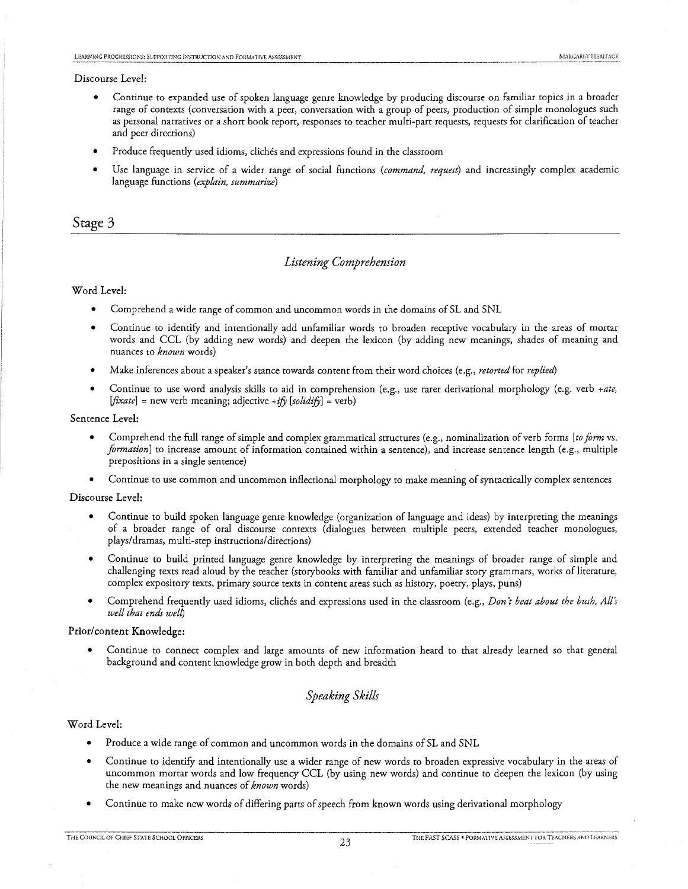#### Discourse Level:

- Continue to expanded use of spoken language genre knowledge by producing discourse on familiar topics in a broader range of contexts (conversation with a peer, conversation with a group of peers, production of simple monologues such as personal narratives or a short book report, responses to teacher multi-part requests, requests for clarification of teacher and peer directions)
- Produce frequently used idioms, cliches and expressions found in the classroom
- Use language in service of a wider range of social functions *(command, request)* and increasingly complex academic language functions *(explain, summarize)*

Stage 3

#### *Listening Comprehension*

#### Word Level:

- Comprehend a wide range of common and uncommon words in the domains of SL and SNL
- Continue to identify and intentionally add unfamiliar words to broaden receptive vocabulary in the areas of mortar words and CCL (by adding new words) and deepen the lexicon (by adding new meanings, shades of meaning and nuances to *known* words)
- Make inferences about a speaker's stance towards content from their word choices (e.g., *retorted* for *replied}*
- Continue to use word analysis skills to aid in comprehension (e.g., use rarer derivational morphology (e.g. verb *+ate,*   $[f(xate)]$  = new verb meaning; adjective *+ify*  $[solidify]$  = verb)

#### Sentence Level:

- Comprehend the full range of simple and complex grammatical structures (e.g., nominalization of verb forms *[to form* vs. *formation]* to increase amounr of information contained within a sentence), and increase senrence length (e.g., multiple prepositions in a single sentence)
- Continue to use common and uncommon inflectional morphology to make meaning of synractically complex sentences

#### Discourse Level:

- Continue to build spoken language genre knowledge (organization of language and ideas) by interpreting the meanings of a broader range of oral discourse contexts (dialogues between multiple peers, extended teacher monologues, plays/dramas, multi-step instructions/ directions)
- Continue to build printed language genre knowledge by interpreting the meanings of broader range of simple and challenging texts read aloud by the teacher (storybooks with familiar and unfamiliar story grammars, works of literature, complex expository texts, primary source texts in content areas such as history, poetry, plays, puns)
- Comprehend frequently used idioms, cliches and expressions used in the classroom (e.g., *Don't beat about the bush, All's well that ends well)*

#### Prior/content Knowledge:

• Continue to connect complex and large amounts of new information heard to that already learned so that general background and content knowledge grow in both depth and breadth

### *Speaking Skills*

#### Word Level:

- Produce a wide range of common and uncommon words in the domains of SL and SNL
- Continue to identify and intentionally use a wider range of new words to broaden expressive vocabulary in the areas of uncommon mortar words and low frequency CCL (by using new words) and continue to deepen the lexicon (by using the new meanings and nuances of *known* words)
- Continue to make new words of differing parts of speech from known words using derivational morphology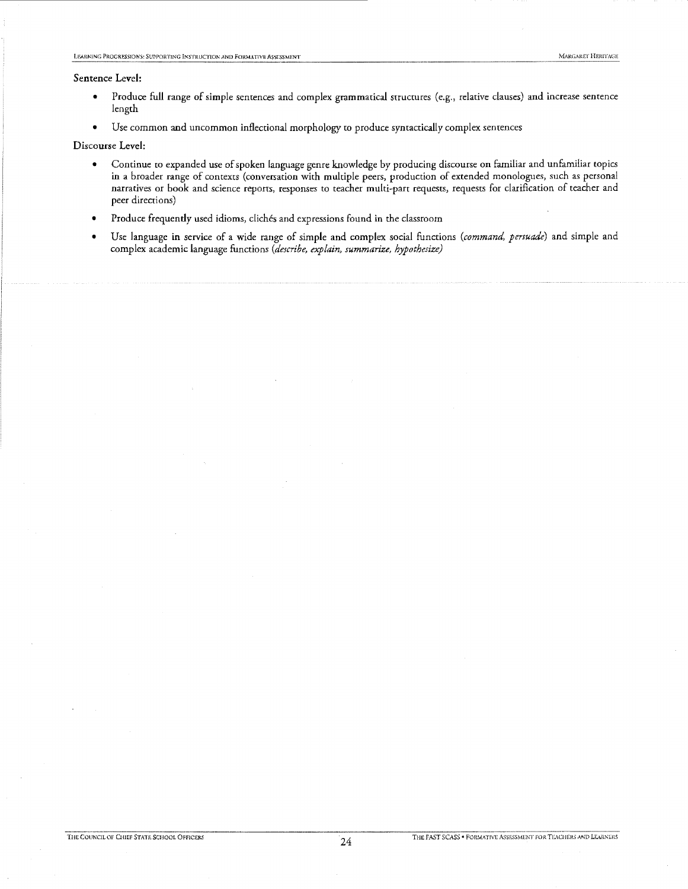Sentence Level:

- Produce full range of simple sentences and complex grammatical structures (e.g., relative clauses) and increase sentence length
- Use common and uncommon inflectional morphology to produce syntactically complex sentences

Discourse Level:

- Continue to expanded use of spoken language genre knowledge by producing discourse on familiar and unfamiliar topics in a broader range of contexts (conversation with multiple peers, production of extended monologues, such as personal narratives or book and science reports, responses to teacher multi-part requests, requests for clarification of teacher and peer directions)
- Produce frequently used idioms, clichés and expressions found in the classroom
- Use language in service of a wide range of simple and complex social functions *(command, persuade)* and simple and complex academic language functions *(describe, explain, summarize, hypothesize)*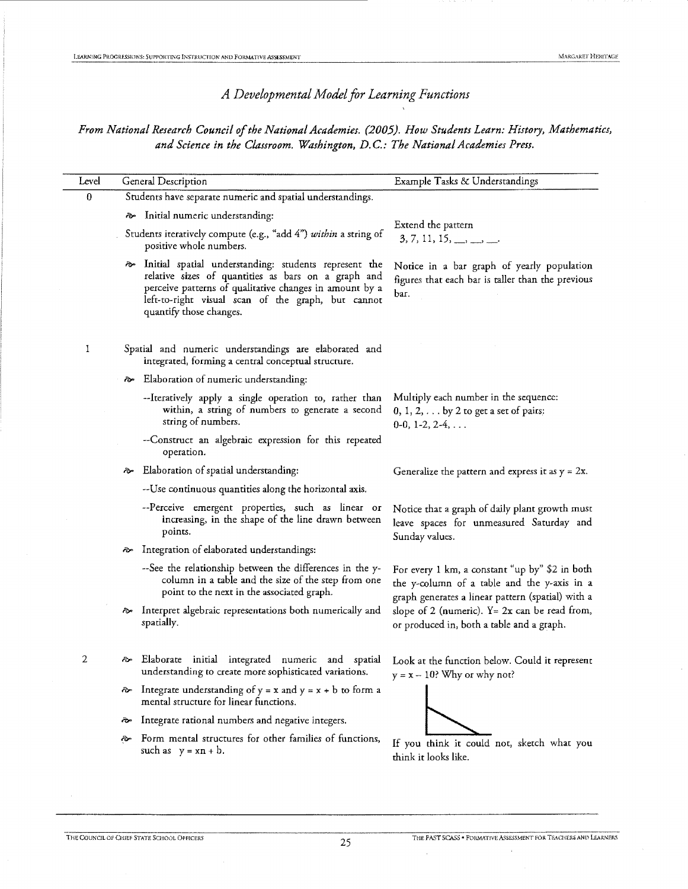# *A Developmental Model for Learning Functions*

### *From National Research Council of the National Academies. (2005). How Students Learn: History, Mathematics, and Science in the Classroom. Washington, D. C.: The National Academies Press.*

| Level    |    | General Description                                                                                                                                                                                                                                         | Example Tasks & Understandings                                                                                                                     |  |  |  |  |
|----------|----|-------------------------------------------------------------------------------------------------------------------------------------------------------------------------------------------------------------------------------------------------------------|----------------------------------------------------------------------------------------------------------------------------------------------------|--|--|--|--|
| $\bf{0}$ |    | Students have separate numeric and spatial understandings.                                                                                                                                                                                                  |                                                                                                                                                    |  |  |  |  |
|          |    | hitial numeric understanding:                                                                                                                                                                                                                               |                                                                                                                                                    |  |  |  |  |
|          |    | Students iteratively compute (e.g., "add 4") within a string of<br>positive whole numbers.                                                                                                                                                                  | Extend the pattern<br>$3, 7, 11, 15, \underline{\quad} \underline{\quad} \underline{\quad}$                                                        |  |  |  |  |
|          |    | do Initial spatial understanding: students represent the<br>relative sizes of quantities as bars on a graph and<br>perceive patterns of qualitative changes in amount by a<br>left-to-right visual scan of the graph, but cannot<br>quantify those changes. | Notice in a bar graph of yearly population<br>figures that each bar is taller than the previous<br>bar.                                            |  |  |  |  |
| 1        |    | Spatial and numeric understandings are elaborated and<br>integrated, forming a central conceptual structure.                                                                                                                                                |                                                                                                                                                    |  |  |  |  |
|          |    | n Elaboration of numeric understanding:                                                                                                                                                                                                                     |                                                                                                                                                    |  |  |  |  |
|          |    | --Iteratively apply a single operation to, rather than<br>within, a string of numbers to generate a second<br>string of numbers.                                                                                                                            | Multiply each number in the sequence:<br>$0, 1, 2, \ldots$ by 2 to get a set of pairs:<br>$0-0, 1-2, 2-4, \ldots$                                  |  |  |  |  |
|          |    | --Construct an algebraic expression for this repeated<br>operation.                                                                                                                                                                                         |                                                                                                                                                    |  |  |  |  |
|          | یم | Elaboration of spatial understanding:                                                                                                                                                                                                                       | Generalize the pattern and express it as $y = 2x$ .                                                                                                |  |  |  |  |
|          |    | --Use continuous quantities along the horizontal axis.                                                                                                                                                                                                      |                                                                                                                                                    |  |  |  |  |
|          |    | --Perceive emergent properties, such as linear or<br>increasing, in the shape of the line drawn between<br>points.                                                                                                                                          | Notice that a graph of daily plant growth must<br>leave spaces for unmeasured Saturday and<br>Sunday values.                                       |  |  |  |  |
|          | ò. | Integration of elaborated understandings:                                                                                                                                                                                                                   |                                                                                                                                                    |  |  |  |  |
|          |    | --See the relationship between the differences in the y-<br>column in a table and the size of the step from one<br>point to the next in the associated graph.                                                                                               | For every 1 km, a constant "up by" \$2 in both<br>the y-column of a table and the y-axis in a<br>graph generates a linear pattern (spatial) with a |  |  |  |  |
|          | ∼  | Interpret algebraic representations both numerically and<br>spatially.                                                                                                                                                                                      | slope of 2 (numeric). $Y = 2x$ can be read from,<br>or produced in, both a table and a graph.                                                      |  |  |  |  |
| 2        |    | a Elaborate initial integrated numeric and spatial Look at the function below. Could it represent<br>understanding to create more sophisticated variations.                                                                                                 | $y = x - 10$ ? Why or why not?                                                                                                                     |  |  |  |  |
|          | ∼  | Integrate understanding of $y = x$ and $y = x + b$ to form a<br>mental structure for linear functions.                                                                                                                                                      |                                                                                                                                                    |  |  |  |  |
|          | حت | Integrate rational numbers and negative integers.                                                                                                                                                                                                           |                                                                                                                                                    |  |  |  |  |
|          | ∼  | Form mental structures for other families of functions,<br>such as $y = xn + b$ .                                                                                                                                                                           | If you think it could not, sketch what you<br>think it looks like.                                                                                 |  |  |  |  |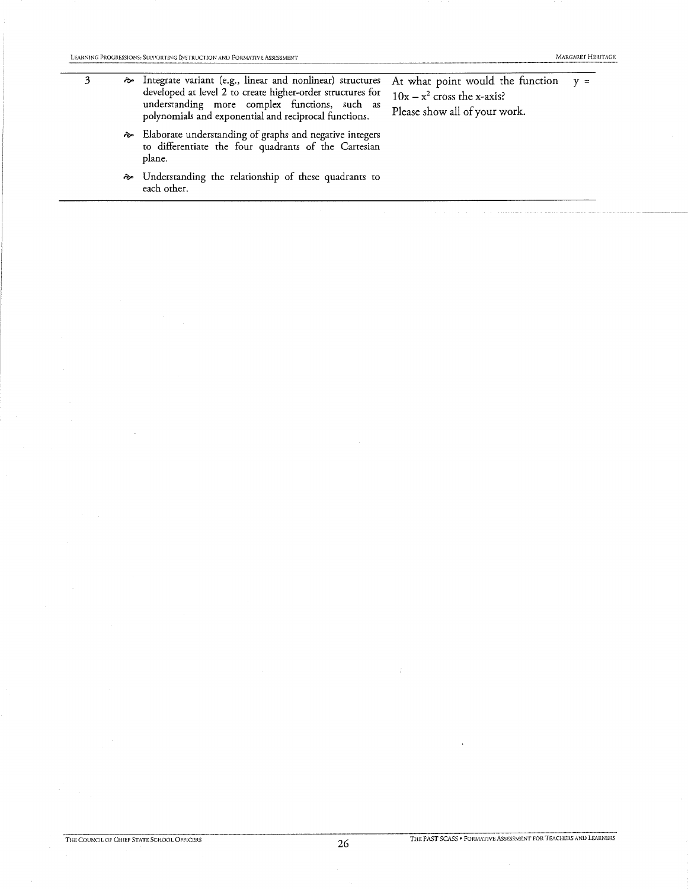plane.

|  | The Integrate variant (e.g., linear and nonlinear) structures At what point would the function $y =$<br>developed at level 2 to create higher-order structures for<br>understanding more complex functions, such as<br>polynomials and exponential and reciprocal functions. | $10x - x^2$ cross the x-axis?<br>Please show all of your work. |  |
|--|------------------------------------------------------------------------------------------------------------------------------------------------------------------------------------------------------------------------------------------------------------------------------|----------------------------------------------------------------|--|
|  | be Elaborate understanding of graphs and negative integers<br>to differentiate the four quadrants of the Cartesian                                                                                                                                                           |                                                                |  |

ft,> Understanding the relationship of these quadrants to each other.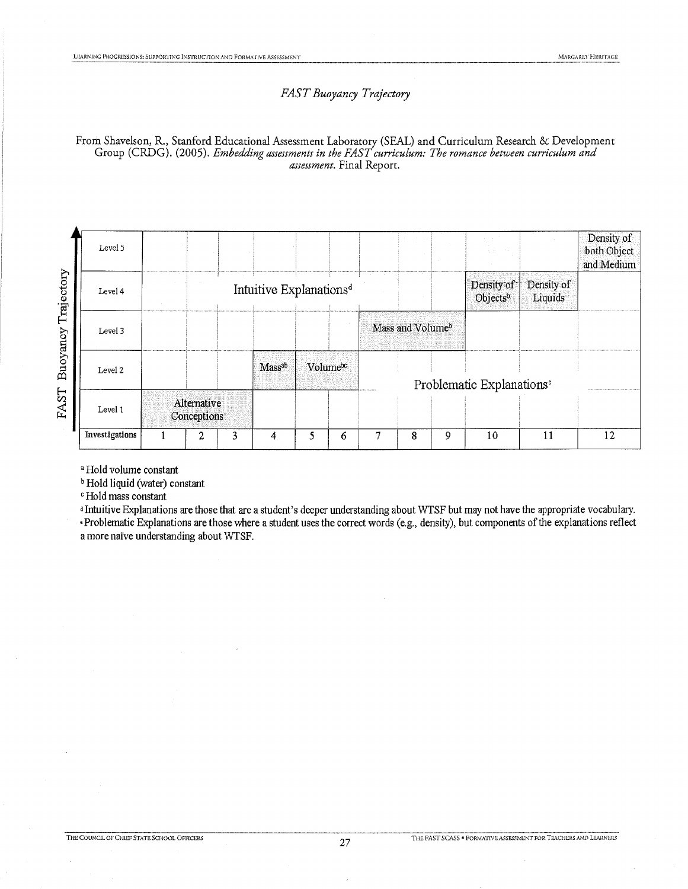### *FAST Buoyancy Trajectory*

#### From Shavelson, R., Stanford Educational Assessment Laboratory (SEAL) and Curriculum Research & Development Group (CRDG). (2005). *Embedding assessments in the FAST curriculum: The romance between curriculum and assessment.* Final Report.

|             | Level 5        |                                     |                            |   |        |          |   |                              |   |                                       |                       | Density of<br>both Object<br>and Medium |
|-------------|----------------|-------------------------------------|----------------------------|---|--------|----------|---|------------------------------|---|---------------------------------------|-----------------------|-----------------------------------------|
| Trajectory  | Level 4        | Intuitive Explanations <sup>d</sup> |                            |   |        |          |   |                              |   | Density of<br>Objects <sup>b</sup>    | Density of<br>Liquids |                                         |
|             | Level 3        |                                     |                            |   |        |          |   | Mass and Volume <sup>b</sup> |   |                                       |                       |                                         |
| Buoyancy    | Level 2        |                                     |                            |   | Massab | Volumebc |   |                              |   | Problematic Explanations <sup>e</sup> |                       |                                         |
| <b>FAST</b> | Level 1        |                                     | Alternative<br>Conceptions |   |        |          |   |                              |   |                                       |                       |                                         |
|             | Investigations |                                     | 2                          | 3 | 4      | 5        | 6 | 8                            | 9 | 10                                    | 11                    | 12                                      |

a Hold volume constant

b Hold liquid (water) constant

c Hold mass constant

<sup>d</sup> Intuitive Explanations are those that are a student's deeper understanding about WTSF but may not have the appropriate vocabulary.

•Problematic Explanations are those where a student uses the correct words (e.g., density), but components of the explanations reflect a more naïve understanding about WTSF.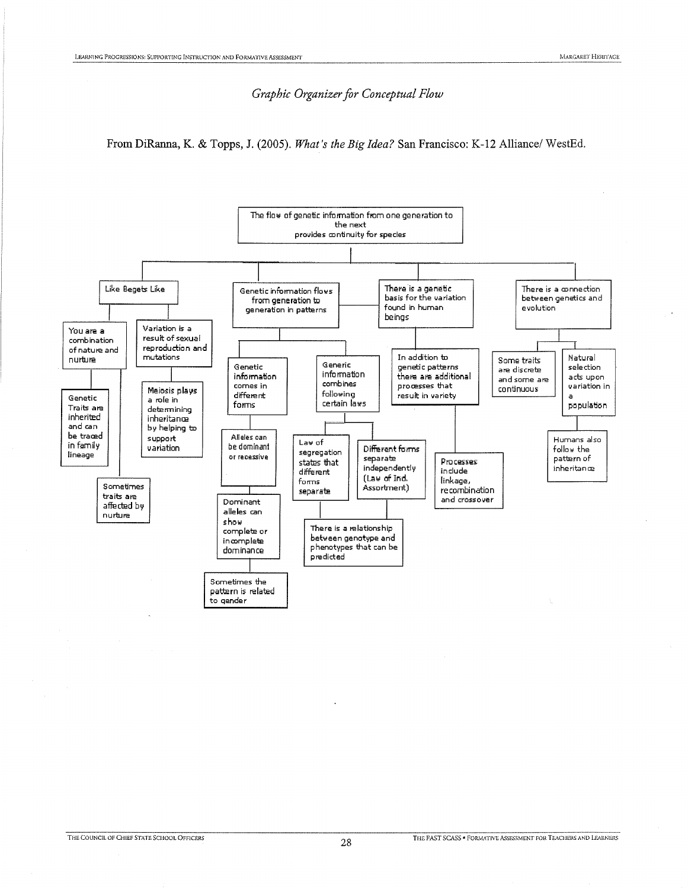#### *Graphic Organizer for Conceptual Flow*

#### From DiRanna, K. & Topps, J. (2005). *What's the Big Idea?* San Francisco: K-12 Alliance/ WestEd.

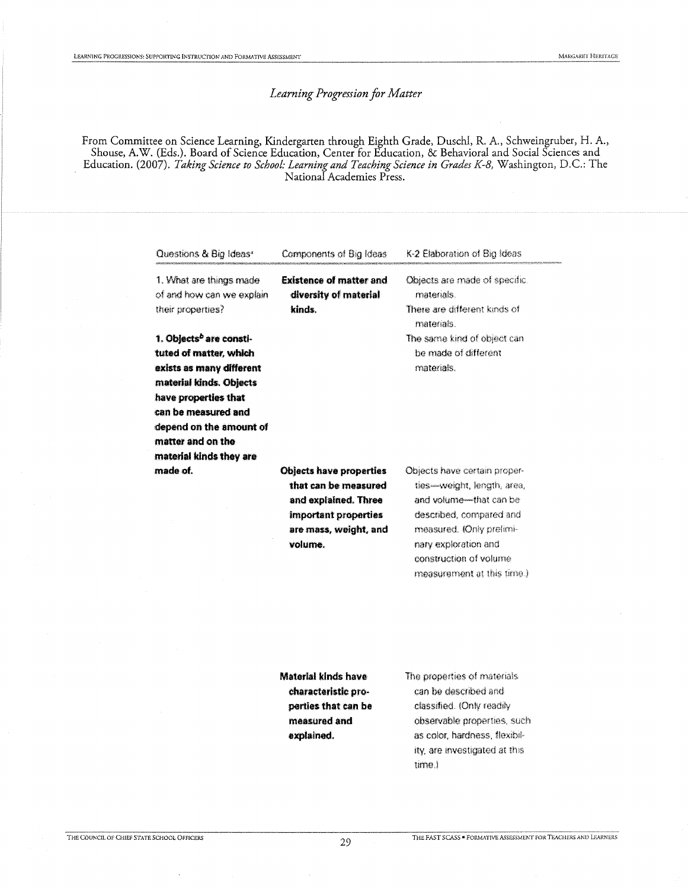### *Learning Progression for Matter*

From Committee on Science Learning, Kindergarten through Eighth Grade, Duschl, R. A., Schweingruber, H. A., Shouse, A.W. (Eds.). Board of Science Education, Center for Education, & Behavioral and Social Sciences and Education. (2007). *Taking Science to School: Learning and Teaching Science in Grades K-8,* Washington, D.C.: The National Academies Press.

| Questions & Big Ideas*                                                                                                                                                                                                                         | Components of Big Ideas                                                                                                             | K-2 Elaboration of Big Ideas                                                                                                                                                                                                |
|------------------------------------------------------------------------------------------------------------------------------------------------------------------------------------------------------------------------------------------------|-------------------------------------------------------------------------------------------------------------------------------------|-----------------------------------------------------------------------------------------------------------------------------------------------------------------------------------------------------------------------------|
| 1. What are things made<br>of and how can we explain<br>their properties?                                                                                                                                                                      | <b>Existence of matter and</b><br>diversity of material<br>kinds.                                                                   | Objects are made of specific.<br>materials.<br>There are different kinds of<br>materials.                                                                                                                                   |
| 1. Objects <sup>b</sup> are consti-<br>tuted of matter, which<br>exists as many different<br>material kinds. Objects<br>have properties that<br>can be measured and<br>depend on the amount of<br>matter and on the<br>material kinds they are |                                                                                                                                     | The same kind of object can<br>be made of different<br>materials.                                                                                                                                                           |
| made of.                                                                                                                                                                                                                                       | Objects have properties<br>that can be measured<br>and explained. Three<br>important properties<br>are mass, weight, and<br>volume. | Objects have certain proper-<br>ties-weight, length, area,<br>and volume-that can be<br>described, compared and<br>measured. (Only prelimi-<br>nary exploration and<br>construction of volume<br>measurement at this time.) |
|                                                                                                                                                                                                                                                | Material kinds have<br>characteristic pro-<br>nartiae that can ha                                                                   | The properties of materials<br>can be described and<br>riseeifiad. (Ontu raadiiv                                                                                                                                            |

erties that can be **measured and explained,** 

classified. (Only readily observable properties, such as color, hardness, flexibility, are investigated at this time.)